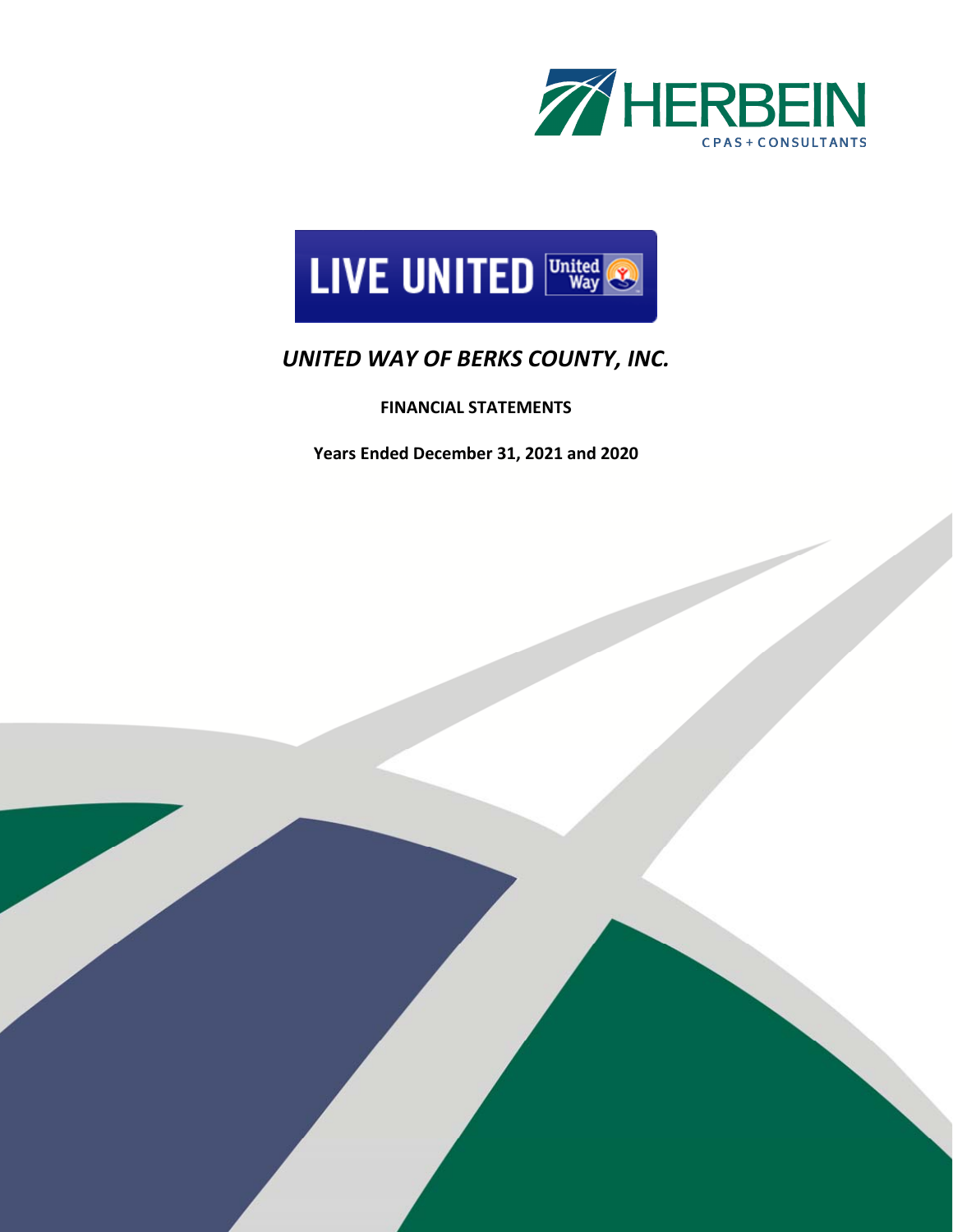



**FINANCIAL STATEMENTS**

**Years Ended December 31, 2021 and 2020**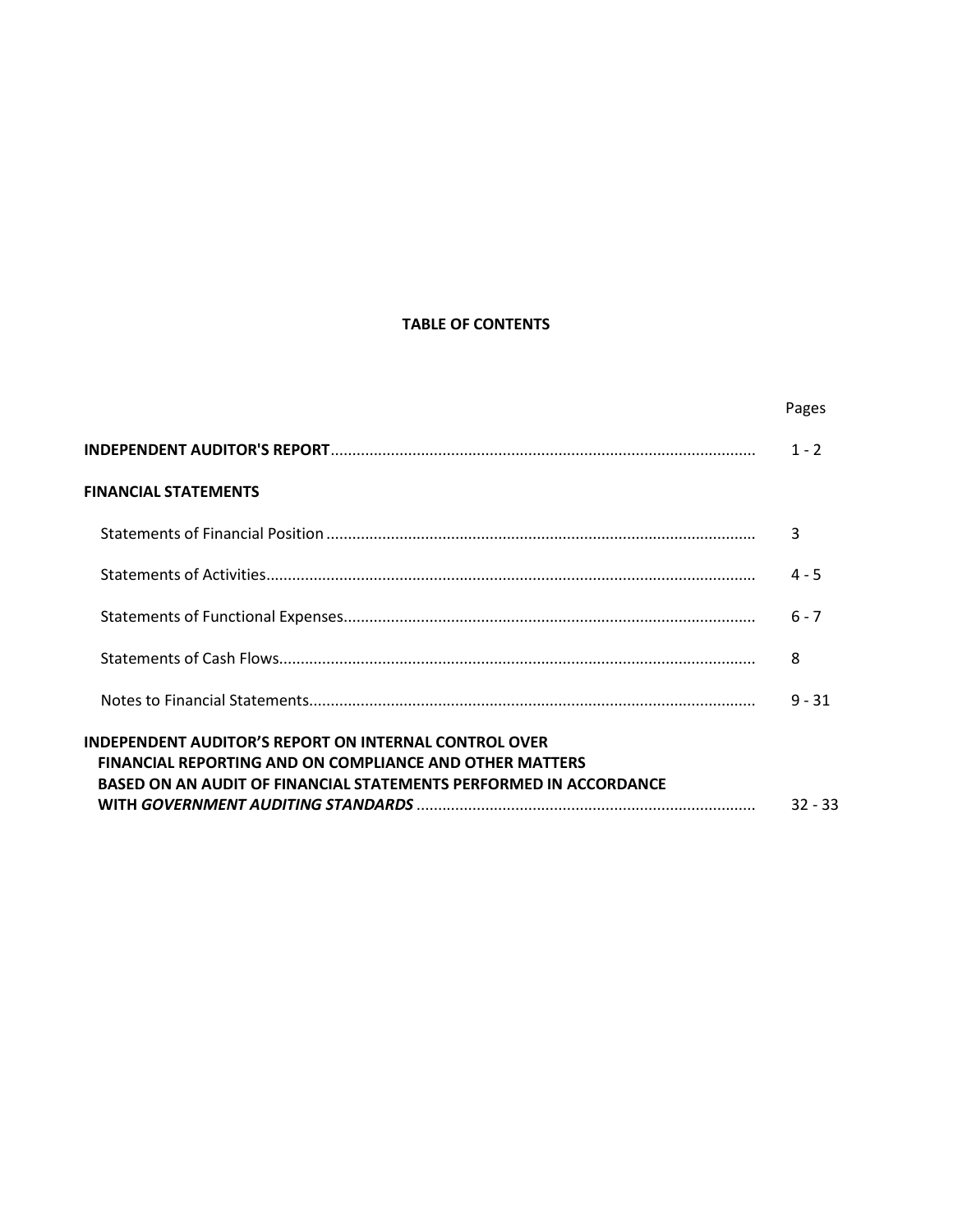## **TABLE OF CONTENTS**

|                                                                                                                                                                                                            | Pages     |
|------------------------------------------------------------------------------------------------------------------------------------------------------------------------------------------------------------|-----------|
|                                                                                                                                                                                                            | $1 - 2$   |
| <b>FINANCIAL STATEMENTS</b>                                                                                                                                                                                |           |
| 3                                                                                                                                                                                                          |           |
|                                                                                                                                                                                                            | $4 - 5$   |
|                                                                                                                                                                                                            | $6 - 7$   |
| 8                                                                                                                                                                                                          |           |
|                                                                                                                                                                                                            | $9 - 31$  |
| <b>INDEPENDENT AUDITOR'S REPORT ON INTERNAL CONTROL OVER</b><br><b>FINANCIAL REPORTING AND ON COMPLIANCE AND OTHER MATTERS</b><br><b>BASED ON AN AUDIT OF FINANCIAL STATEMENTS PERFORMED IN ACCORDANCE</b> | $32 - 33$ |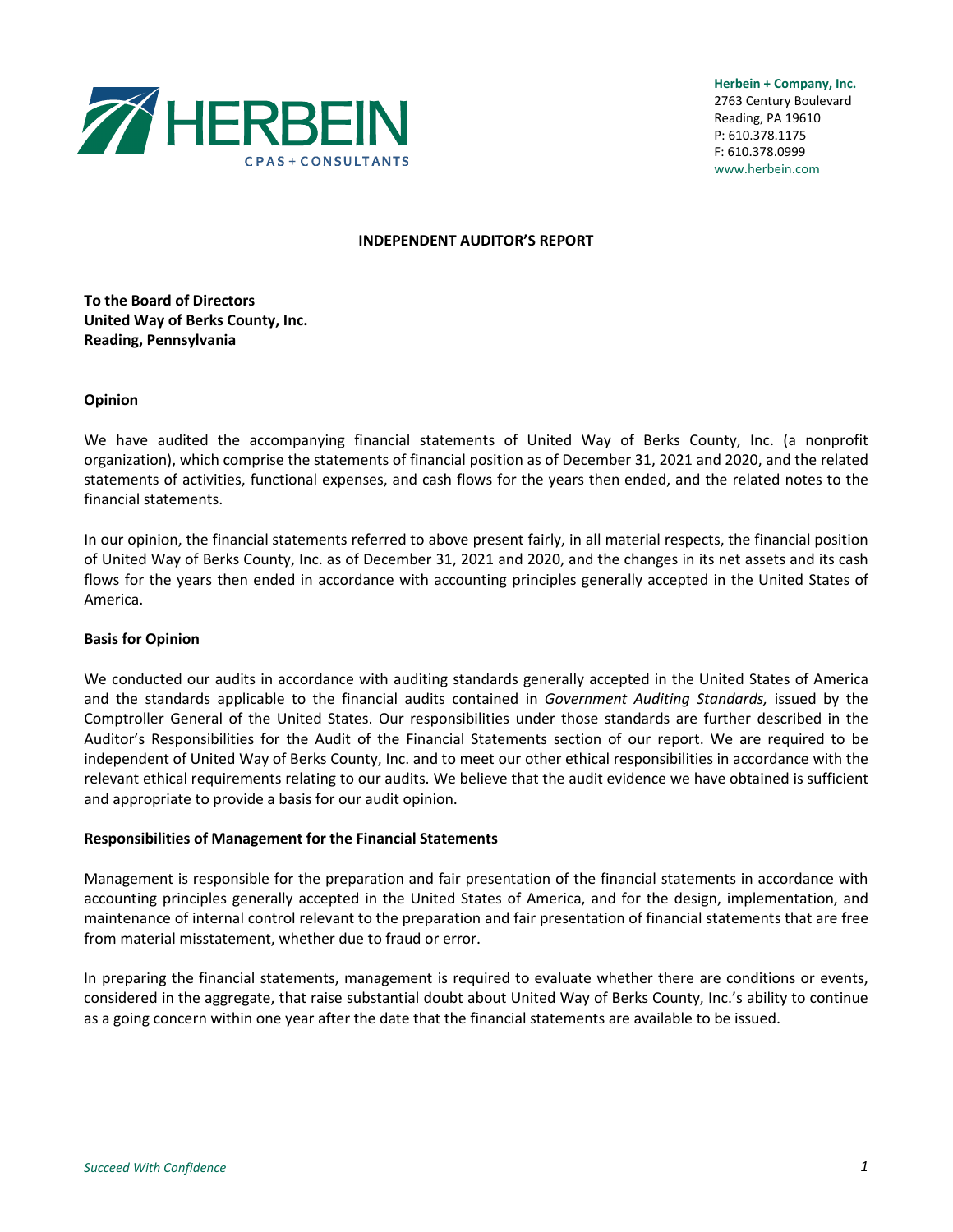

**Herbein + Company, Inc.** 2763 Century Boulevard Reading, PA 19610 P: 610.378.1175 F: 610.378.0999 www.herbein.com

#### **INDEPENDENT AUDITOR'S REPORT**

**To the Board of Directors United Way of Berks County, Inc. Reading, Pennsylvania**

#### **Opinion**

We have audited the accompanying financial statements of United Way of Berks County, Inc. (a nonprofit organization), which comprise the statements of financial position as of December 31, 2021 and 2020, and the related statements of activities, functional expenses, and cash flows for the years then ended, and the related notes to the financial statements.

In our opinion, the financial statements referred to above present fairly, in all material respects, the financial position of United Way of Berks County, Inc. as of December 31, 2021 and 2020, and the changes in its net assets and its cash flows for the years then ended in accordance with accounting principles generally accepted in the United States of America.

#### **Basis for Opinion**

We conducted our audits in accordance with auditing standards generally accepted in the United States of America and the standards applicable to the financial audits contained in *Government Auditing Standards,* issued by the Comptroller General of the United States. Our responsibilities under those standards are further described in the Auditor's Responsibilities for the Audit of the Financial Statements section of our report. We are required to be independent of United Way of Berks County, Inc. and to meet our other ethical responsibilities in accordance with the relevant ethical requirements relating to our audits. We believe that the audit evidence we have obtained is sufficient and appropriate to provide a basis for our audit opinion.

#### **Responsibilities of Management for the Financial Statements**

Management is responsible for the preparation and fair presentation of the financial statements in accordance with accounting principles generally accepted in the United States of America, and for the design, implementation, and maintenance of internal control relevant to the preparation and fair presentation of financial statements that are free from material misstatement, whether due to fraud or error.

In preparing the financial statements, management is required to evaluate whether there are conditions or events, considered in the aggregate, that raise substantial doubt about United Way of Berks County, Inc.'s ability to continue as a going concern within one year after the date that the financial statements are available to be issued.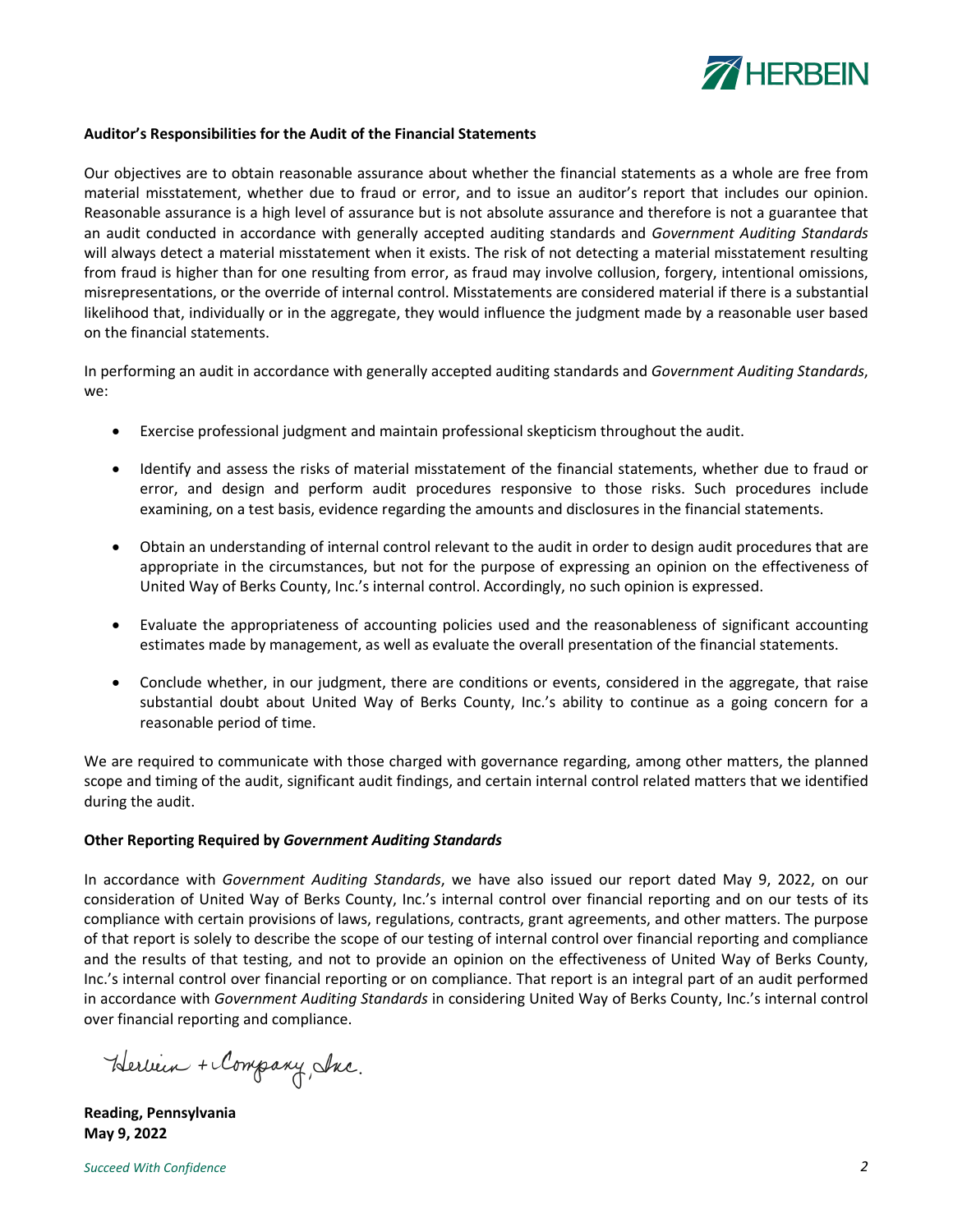

#### **Auditor's Responsibilities for the Audit of the Financial Statements**

Our objectives are to obtain reasonable assurance about whether the financial statements as a whole are free from material misstatement, whether due to fraud or error, and to issue an auditor's report that includes our opinion. Reasonable assurance is a high level of assurance but is not absolute assurance and therefore is not a guarantee that an audit conducted in accordance with generally accepted auditing standards and *Government Auditing Standards* will always detect a material misstatement when it exists. The risk of not detecting a material misstatement resulting from fraud is higher than for one resulting from error, as fraud may involve collusion, forgery, intentional omissions, misrepresentations, or the override of internal control. Misstatements are considered material if there is a substantial likelihood that, individually or in the aggregate, they would influence the judgment made by a reasonable user based on the financial statements.

In performing an audit in accordance with generally accepted auditing standards and *Government Auditing Standards*, we:

- Exercise professional judgment and maintain professional skepticism throughout the audit.
- Identify and assess the risks of material misstatement of the financial statements, whether due to fraud or error, and design and perform audit procedures responsive to those risks. Such procedures include examining, on a test basis, evidence regarding the amounts and disclosures in the financial statements.
- Obtain an understanding of internal control relevant to the audit in order to design audit procedures that are appropriate in the circumstances, but not for the purpose of expressing an opinion on the effectiveness of United Way of Berks County, Inc.'s internal control. Accordingly, no such opinion is expressed.
- Evaluate the appropriateness of accounting policies used and the reasonableness of significant accounting estimates made by management, as well as evaluate the overall presentation of the financial statements.
- Conclude whether, in our judgment, there are conditions or events, considered in the aggregate, that raise substantial doubt about United Way of Berks County, Inc.'s ability to continue as a going concern for a reasonable period of time.

We are required to communicate with those charged with governance regarding, among other matters, the planned scope and timing of the audit, significant audit findings, and certain internal control related matters that we identified during the audit.

#### **Other Reporting Required by** *Government Auditing Standards*

In accordance with *Government Auditing Standards*, we have also issued our report dated May 9, 2022, on our consideration of United Way of Berks County, Inc.'s internal control over financial reporting and on our tests of its compliance with certain provisions of laws, regulations, contracts, grant agreements, and other matters. The purpose of that report is solely to describe the scope of our testing of internal control over financial reporting and compliance and the results of that testing, and not to provide an opinion on the effectiveness of United Way of Berks County, Inc.'s internal control over financial reporting or on compliance. That report is an integral part of an audit performed in accordance with *Government Auditing Standards* in considering United Way of Berks County, Inc.'s internal control over financial reporting and compliance.

Herbein + Company, Suc.

**Reading, Pennsylvania May 9, 2022**

*Succeed With Confidence 2*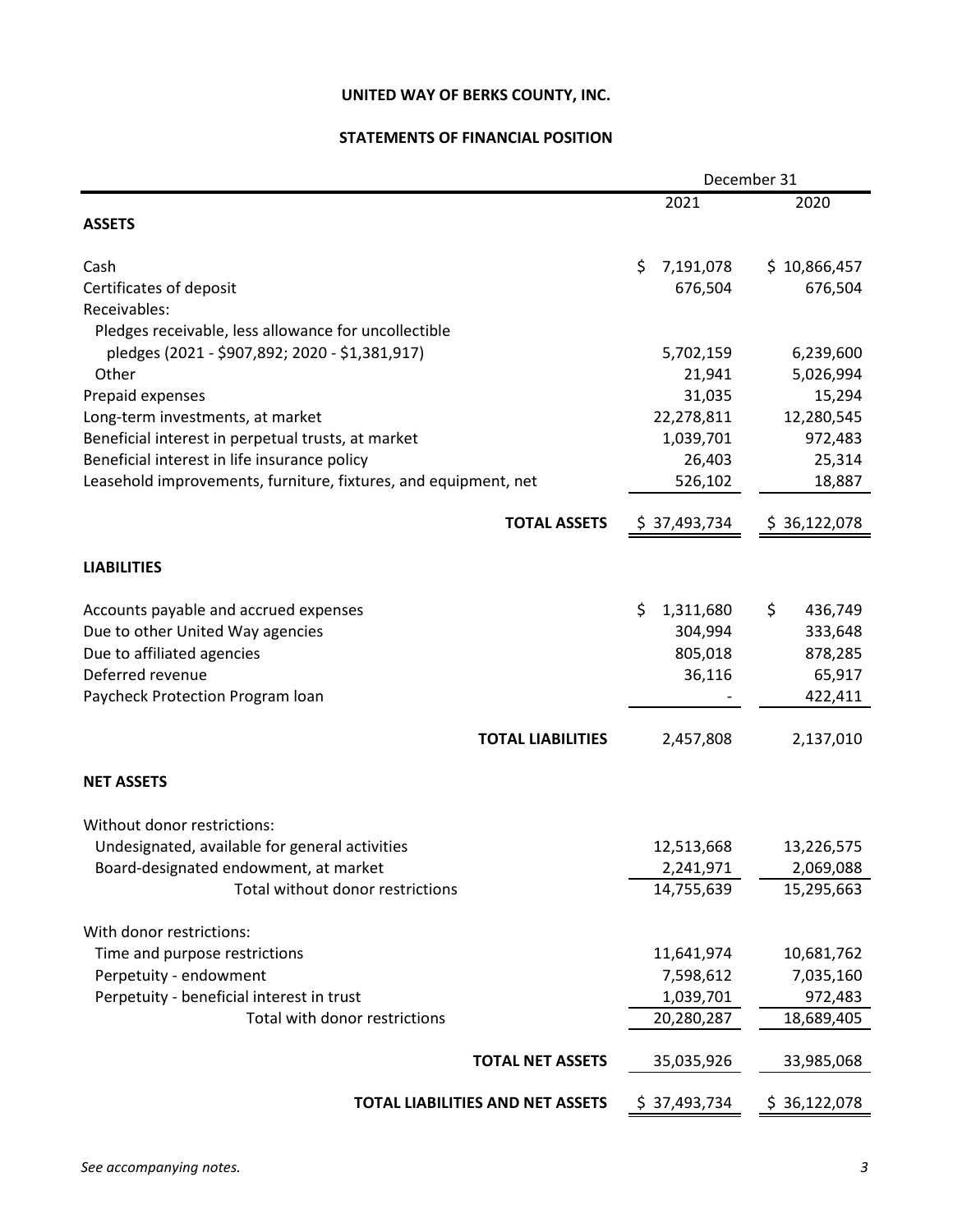## **STATEMENTS OF FINANCIAL POSITION**

|                                                                 |                 | December 31   |
|-----------------------------------------------------------------|-----------------|---------------|
|                                                                 | 2021            | 2020          |
| <b>ASSETS</b>                                                   |                 |               |
| Cash                                                            | \$<br>7,191,078 | \$10,866,457  |
| Certificates of deposit                                         | 676,504         | 676,504       |
| Receivables:                                                    |                 |               |
| Pledges receivable, less allowance for uncollectible            |                 |               |
| pledges (2021 - \$907,892; 2020 - \$1,381,917)                  | 5,702,159       | 6,239,600     |
| Other                                                           | 21,941          | 5,026,994     |
| Prepaid expenses                                                | 31,035          | 15,294        |
| Long-term investments, at market                                | 22,278,811      | 12,280,545    |
| Beneficial interest in perpetual trusts, at market              | 1,039,701       | 972,483       |
| Beneficial interest in life insurance policy                    | 26,403          | 25,314        |
| Leasehold improvements, furniture, fixtures, and equipment, net | 526,102         | 18,887        |
| <b>TOTAL ASSETS</b>                                             | \$37,493,734    | \$36,122,078  |
| <b>LIABILITIES</b>                                              |                 |               |
| Accounts payable and accrued expenses                           | \$<br>1,311,680 | \$<br>436,749 |
| Due to other United Way agencies                                | 304,994         | 333,648       |
| Due to affiliated agencies                                      | 805,018         | 878,285       |
| Deferred revenue                                                | 36,116          | 65,917        |
| Paycheck Protection Program loan                                |                 | 422,411       |
| <b>TOTAL LIABILITIES</b>                                        | 2,457,808       | 2,137,010     |
| <b>NET ASSETS</b>                                               |                 |               |
| Without donor restrictions:                                     |                 |               |
| Undesignated, available for general activities                  | 12,513,668      | 13,226,575    |
| Board-designated endowment, at market                           | 2,241,971       | 2,069,088     |
| Total without donor restrictions                                | 14,755,639      | 15,295,663    |
| With donor restrictions:                                        |                 |               |
| Time and purpose restrictions                                   | 11,641,974      | 10,681,762    |
| Perpetuity - endowment                                          | 7,598,612       | 7,035,160     |
| Perpetuity - beneficial interest in trust                       | 1,039,701       | 972,483       |
| Total with donor restrictions                                   | 20,280,287      | 18,689,405    |
| <b>TOTAL NET ASSETS</b>                                         | 35,035,926      | 33,985,068    |
| <b>TOTAL LIABILITIES AND NET ASSETS</b>                         | \$37,493,734    | \$36,122,078  |
|                                                                 |                 |               |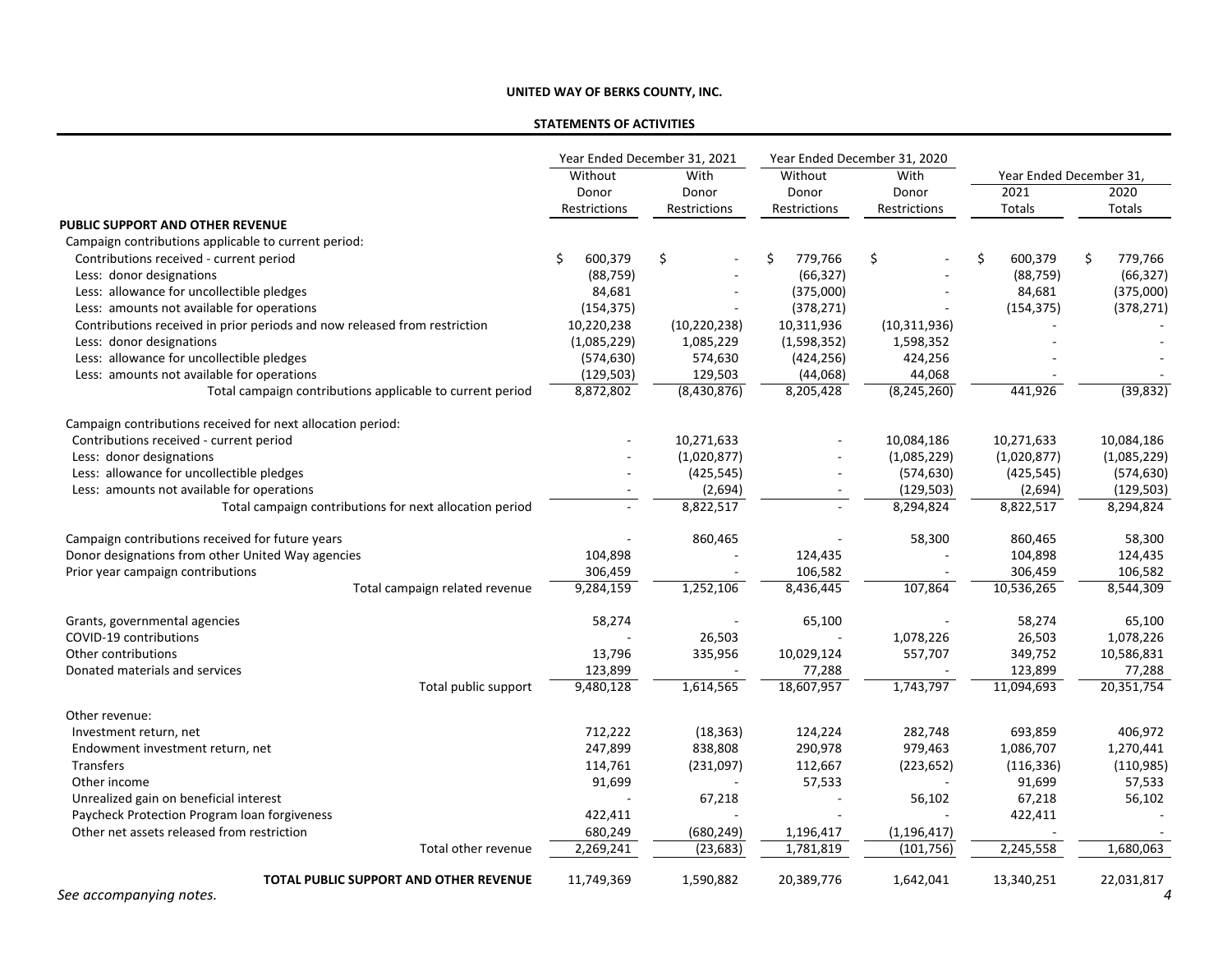#### **STATEMENTS OF ACTIVITIES**

|                                                                                                        | Year Ended December 31, 2021 |                |                      | Year Ended December 31, 2020 |                         |                      |
|--------------------------------------------------------------------------------------------------------|------------------------------|----------------|----------------------|------------------------------|-------------------------|----------------------|
|                                                                                                        | Without                      | With           | Without              | With                         | Year Ended December 31, |                      |
|                                                                                                        | Donor                        | Donor          | Donor                | Donor                        | 2021                    | 2020                 |
|                                                                                                        | Restrictions                 | Restrictions   | Restrictions         | Restrictions                 | Totals                  | Totals               |
| <b>PUBLIC SUPPORT AND OTHER REVENUE</b>                                                                |                              |                |                      |                              |                         |                      |
| Campaign contributions applicable to current period:                                                   | \$                           | \$             | Ś.                   | \$                           | \$                      | \$                   |
| Contributions received - current period<br>Less: donor designations                                    | 600,379<br>(88, 759)         |                | 779,766<br>(66, 327) |                              | 600,379<br>(88, 759)    | 779,766<br>(66, 327) |
| Less: allowance for uncollectible pledges                                                              | 84,681                       |                | (375,000)            |                              | 84,681                  | (375,000)            |
| Less: amounts not available for operations                                                             | (154, 375)                   |                | (378, 271)           |                              | (154, 375)              | (378, 271)           |
| Contributions received in prior periods and now released from restriction                              | 10,220,238                   | (10, 220, 238) | 10,311,936           | (10, 311, 936)               |                         |                      |
| Less: donor designations                                                                               | (1,085,229)                  | 1,085,229      | (1,598,352)          | 1,598,352                    |                         |                      |
| Less: allowance for uncollectible pledges                                                              | (574, 630)                   | 574,630        | (424, 256)           | 424,256                      |                         |                      |
| Less: amounts not available for operations                                                             | (129, 503)                   | 129,503        | (44,068)             | 44,068                       |                         |                      |
| Total campaign contributions applicable to current period                                              | 8,872,802                    | (8,430,876)    | 8,205,428            | (8, 245, 260)                | 441,926                 | (39, 832)            |
|                                                                                                        |                              |                |                      |                              |                         |                      |
| Campaign contributions received for next allocation period:<br>Contributions received - current period |                              | 10,271,633     |                      | 10,084,186                   | 10,271,633              | 10,084,186           |
| Less: donor designations                                                                               |                              | (1,020,877)    |                      | (1,085,229)                  | (1,020,877)             | (1,085,229)          |
| Less: allowance for uncollectible pledges                                                              |                              | (425, 545)     | $\sim$               | (574, 630)                   | (425, 545)              | (574, 630)           |
| Less: amounts not available for operations                                                             |                              | (2,694)        |                      | (129, 503)                   | (2,694)                 | (129, 503)           |
| Total campaign contributions for next allocation period                                                |                              | 8,822,517      |                      | 8,294,824                    | 8,822,517               | 8,294,824            |
|                                                                                                        |                              |                |                      |                              |                         |                      |
| Campaign contributions received for future years                                                       |                              | 860,465        |                      | 58,300                       | 860,465                 | 58,300               |
| Donor designations from other United Way agencies                                                      | 104,898                      |                | 124,435              |                              | 104,898                 | 124,435              |
| Prior year campaign contributions                                                                      | 306,459                      |                | 106,582              |                              | 306,459                 | 106,582              |
| Total campaign related revenue                                                                         | 9,284,159                    | 1,252,106      | 8,436,445            | 107,864                      | 10,536,265              | 8,544,309            |
| Grants, governmental agencies                                                                          | 58,274                       |                | 65,100               |                              | 58,274                  | 65,100               |
| COVID-19 contributions                                                                                 |                              | 26,503         |                      | 1,078,226                    | 26,503                  | 1,078,226            |
| Other contributions                                                                                    | 13,796                       | 335,956        | 10,029,124           | 557,707                      | 349,752                 | 10,586,831           |
| Donated materials and services                                                                         | 123,899                      |                | 77,288               |                              | 123,899                 | 77,288               |
| Total public support                                                                                   | 9,480,128                    | 1,614,565      | 18,607,957           | 1,743,797                    | 11,094,693              | 20,351,754           |
| Other revenue:                                                                                         |                              |                |                      |                              |                         |                      |
| Investment return, net                                                                                 | 712,222                      | (18, 363)      | 124,224              | 282,748                      | 693,859                 | 406,972              |
| Endowment investment return, net                                                                       | 247,899                      | 838,808        | 290,978              | 979,463                      | 1,086,707               | 1,270,441            |
| Transfers                                                                                              | 114,761                      | (231,097)      | 112,667              | (223, 652)                   | (116, 336)              | (110, 985)           |
| Other income                                                                                           | 91,699                       |                | 57,533               |                              | 91,699                  | 57,533               |
| Unrealized gain on beneficial interest                                                                 |                              | 67,218         |                      | 56,102                       | 67,218                  | 56,102               |
| Paycheck Protection Program loan forgiveness                                                           | 422,411                      |                |                      |                              | 422,411                 |                      |
| Other net assets released from restriction                                                             | 680,249                      | (680, 249)     | 1,196,417            | (1, 196, 417)                |                         |                      |
| Total other revenue                                                                                    | 2,269,241                    | (23, 683)      | 1,781,819            | (101, 756)                   | 2,245,558               | 1,680,063            |
| <b>TOTAL PUBLIC SUPPORT AND OTHER REVENUE</b>                                                          | 11,749,369                   | 1,590,882      | 20,389,776           | 1,642,041                    | 13,340,251              | 22,031,817           |
| See accompanying notes.                                                                                |                              |                |                      |                              |                         | 4                    |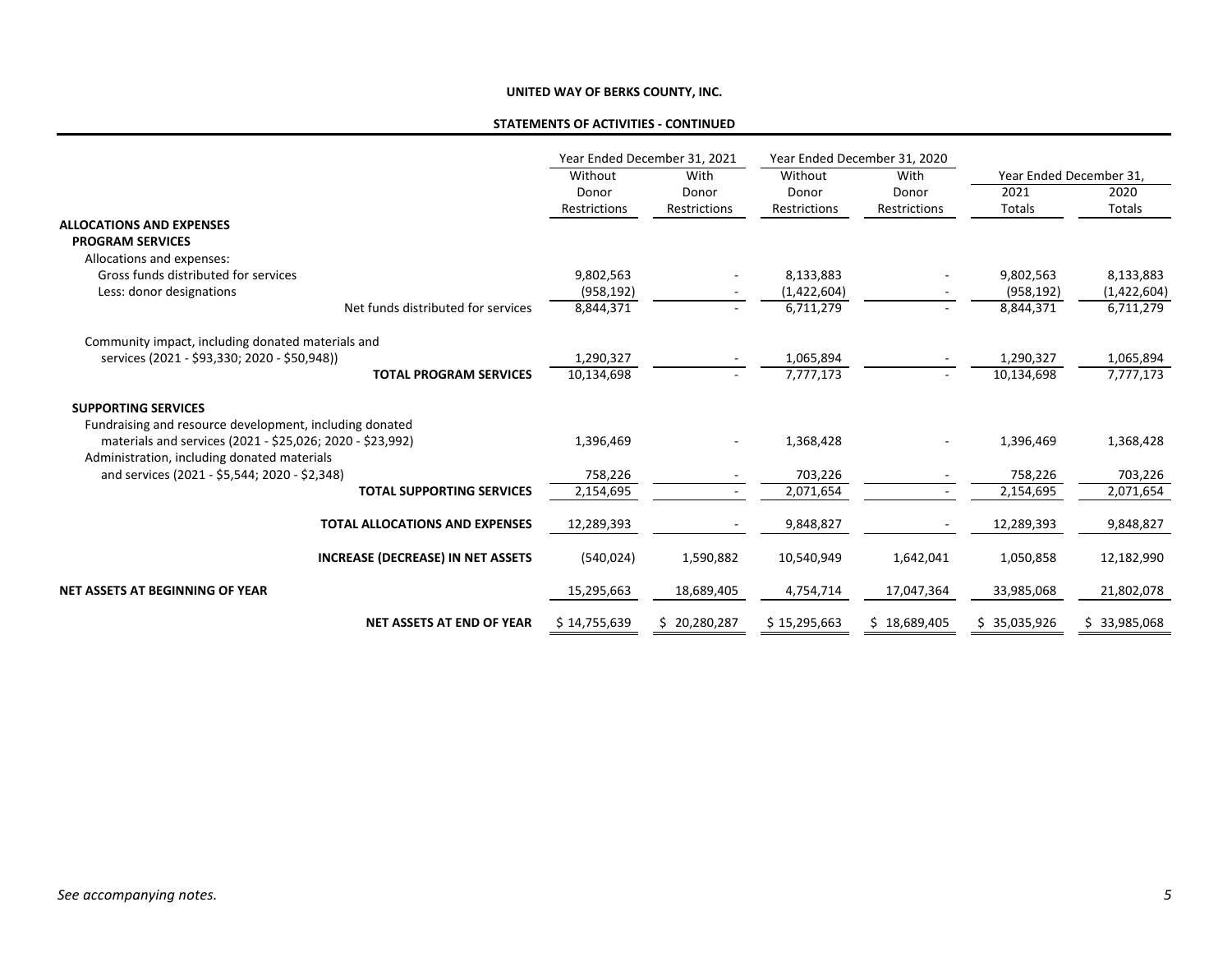### **STATEMENTS OF ACTIVITIES - CONTINUED**

|                                                           |              | Year Ended December 31, 2021<br>Year Ended December 31, 2020 |              |              |                         |              |  |  |
|-----------------------------------------------------------|--------------|--------------------------------------------------------------|--------------|--------------|-------------------------|--------------|--|--|
|                                                           | Without      | With                                                         | Without      | With         | Year Ended December 31, |              |  |  |
|                                                           | Donor        | Donor                                                        | Donor        | Donor        | 2021                    | 2020         |  |  |
|                                                           | Restrictions | Restrictions                                                 | Restrictions | Restrictions | Totals                  | Totals       |  |  |
| <b>ALLOCATIONS AND EXPENSES</b>                           |              |                                                              |              |              |                         |              |  |  |
| <b>PROGRAM SERVICES</b>                                   |              |                                                              |              |              |                         |              |  |  |
| Allocations and expenses:                                 |              |                                                              |              |              |                         |              |  |  |
| Gross funds distributed for services                      | 9,802,563    |                                                              | 8,133,883    |              | 9,802,563               | 8,133,883    |  |  |
| Less: donor designations                                  | (958, 192)   |                                                              | (1,422,604)  |              | (958, 192)              | (1,422,604)  |  |  |
| Net funds distributed for services                        | 8,844,371    |                                                              | 6,711,279    |              | 8,844,371               | 6,711,279    |  |  |
|                                                           |              |                                                              |              |              |                         |              |  |  |
| Community impact, including donated materials and         |              |                                                              |              |              |                         |              |  |  |
| services (2021 - \$93,330; 2020 - \$50,948))              | 1,290,327    |                                                              | 1,065,894    |              | 1,290,327               | 1,065,894    |  |  |
| <b>TOTAL PROGRAM SERVICES</b>                             | 10,134,698   |                                                              | 7,777,173    |              | 10,134,698              | 7,777,173    |  |  |
|                                                           |              |                                                              |              |              |                         |              |  |  |
| <b>SUPPORTING SERVICES</b>                                |              |                                                              |              |              |                         |              |  |  |
| Fundraising and resource development, including donated   |              |                                                              |              |              |                         |              |  |  |
| materials and services (2021 - \$25,026; 2020 - \$23,992) | 1,396,469    |                                                              | 1,368,428    |              | 1,396,469               | 1,368,428    |  |  |
| Administration, including donated materials               |              |                                                              |              |              |                         |              |  |  |
| and services (2021 - \$5,544; 2020 - \$2,348)             | 758,226      |                                                              | 703,226      |              | 758,226                 | 703,226      |  |  |
| <b>TOTAL SUPPORTING SERVICES</b>                          | 2,154,695    |                                                              | 2,071,654    |              | 2,154,695               | 2,071,654    |  |  |
|                                                           |              |                                                              |              |              |                         |              |  |  |
| <b>TOTAL ALLOCATIONS AND EXPENSES</b>                     | 12,289,393   |                                                              | 9,848,827    |              | 12,289,393              | 9,848,827    |  |  |
|                                                           |              |                                                              |              |              |                         |              |  |  |
| <b>INCREASE (DECREASE) IN NET ASSETS</b>                  | (540, 024)   | 1,590,882                                                    | 10,540,949   | 1,642,041    | 1,050,858               | 12,182,990   |  |  |
|                                                           |              |                                                              |              |              |                         |              |  |  |
| <b>NET ASSETS AT BEGINNING OF YEAR</b>                    | 15,295,663   | 18,689,405                                                   | 4,754,714    | 17,047,364   | 33,985,068              | 21,802,078   |  |  |
|                                                           |              |                                                              |              |              |                         |              |  |  |
| <b>NET ASSETS AT END OF YEAR</b>                          | \$14,755,639 | \$20,280,287                                                 | \$15,295,663 | \$18,689,405 | \$35,035,926            | \$33,985,068 |  |  |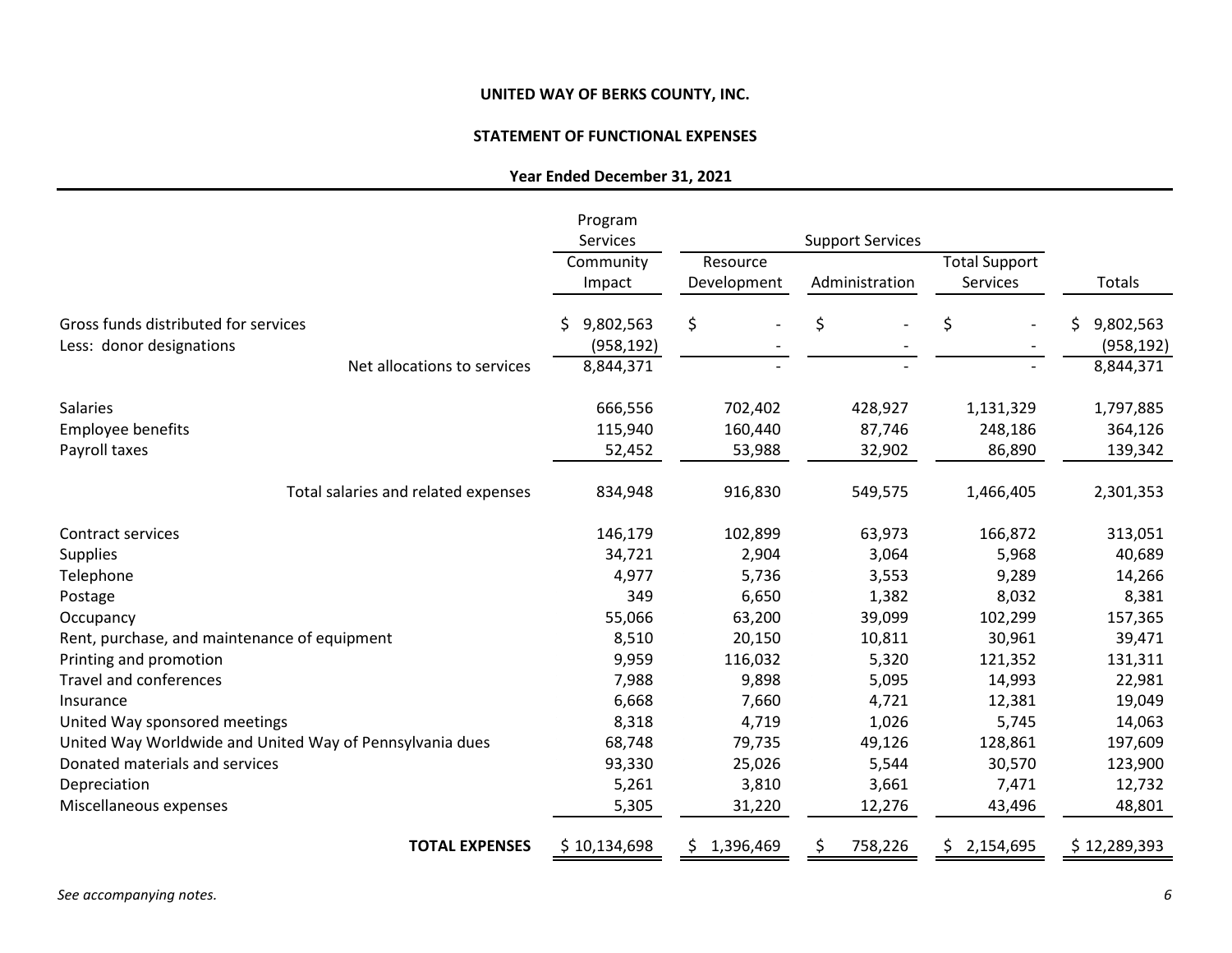## **STATEMENT OF FUNCTIONAL EXPENSES**

## **Year Ended December 31, 2021**

|                                                                  | Program<br>Services          |                                |                                           |                                  |                                 |
|------------------------------------------------------------------|------------------------------|--------------------------------|-------------------------------------------|----------------------------------|---------------------------------|
|                                                                  | Community<br>Impact          | Resource<br>Development        | <b>Support Services</b><br>Administration | <b>Total Support</b><br>Services | Totals                          |
| Gross funds distributed for services<br>Less: donor designations | 9,802,563<br>(958, 192)      | \$<br>$\overline{\phantom{a}}$ | \$<br>$\overline{\phantom{0}}$            | \$                               | 9,802,563<br>\$<br>(958, 192)   |
| Net allocations to services                                      | 8,844,371                    |                                |                                           |                                  | 8,844,371                       |
| <b>Salaries</b><br>Employee benefits<br>Payroll taxes            | 666,556<br>115,940<br>52,452 | 702,402<br>160,440<br>53,988   | 428,927<br>87,746<br>32,902               | 1,131,329<br>248,186<br>86,890   | 1,797,885<br>364,126<br>139,342 |
| Total salaries and related expenses                              | 834,948                      | 916,830                        | 549,575                                   | 1,466,405                        | 2,301,353                       |
| Contract services                                                | 146,179                      | 102,899                        | 63,973                                    | 166,872                          | 313,051                         |
| <b>Supplies</b>                                                  | 34,721                       | 2,904                          | 3,064                                     | 5,968                            | 40,689                          |
| Telephone                                                        | 4,977                        | 5,736                          | 3,553                                     | 9,289                            | 14,266                          |
| Postage                                                          | 349                          | 6,650                          | 1,382                                     | 8,032                            | 8,381                           |
| Occupancy                                                        | 55,066                       | 63,200                         | 39,099                                    | 102,299                          | 157,365                         |
| Rent, purchase, and maintenance of equipment                     | 8,510                        | 20,150                         | 10,811                                    | 30,961                           | 39,471                          |
| Printing and promotion                                           | 9,959                        | 116,032                        | 5,320                                     | 121,352                          | 131,311                         |
| <b>Travel and conferences</b>                                    | 7,988                        | 9,898                          | 5,095                                     | 14,993                           | 22,981                          |
| Insurance                                                        | 6,668                        | 7,660                          | 4,721                                     | 12,381                           | 19,049                          |
| United Way sponsored meetings                                    | 8,318                        | 4,719                          | 1,026                                     | 5,745                            | 14,063                          |
| United Way Worldwide and United Way of Pennsylvania dues         | 68,748                       | 79,735                         | 49,126                                    | 128,861                          | 197,609                         |
| Donated materials and services                                   | 93,330                       | 25,026                         | 5,544                                     | 30,570                           | 123,900                         |
| Depreciation                                                     | 5,261                        | 3,810                          | 3,661                                     | 7,471                            | 12,732                          |
| Miscellaneous expenses                                           | 5,305                        | 31,220                         | 12,276                                    | 43,496                           | 48,801                          |
| <b>TOTAL EXPENSES</b>                                            | \$10,134,698                 | 1,396,469<br>Ş.                | 758,226                                   | 2,154,695<br>S                   | \$12,289,393                    |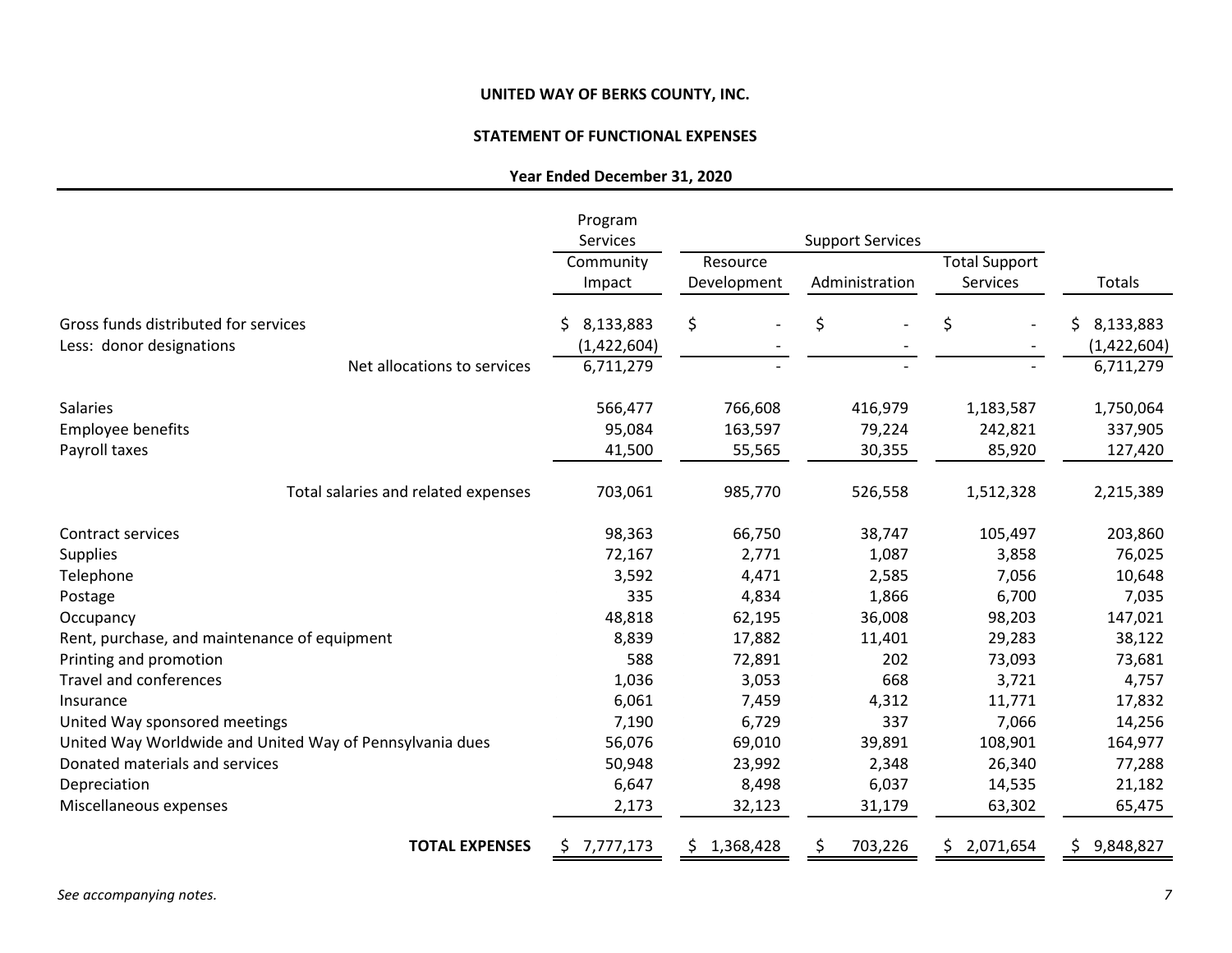## **STATEMENT OF FUNCTIONAL EXPENSES**

## **Year Ended December 31, 2020**

|                                                                                                 | Program<br>Services                          |                                |                                           |                                  |                                              |
|-------------------------------------------------------------------------------------------------|----------------------------------------------|--------------------------------|-------------------------------------------|----------------------------------|----------------------------------------------|
|                                                                                                 | Community<br>Impact                          | Resource<br>Development        | <b>Support Services</b><br>Administration | <b>Total Support</b><br>Services | Totals                                       |
| Gross funds distributed for services<br>Less: donor designations<br>Net allocations to services | 8,133,883<br>Ś<br>(1, 422, 604)<br>6,711,279 | \$<br>$\overline{\phantom{a}}$ | \$                                        | $\zeta$                          | 8,133,883<br>\$.<br>(1,422,604)<br>6,711,279 |
| <b>Salaries</b><br>Employee benefits<br>Payroll taxes                                           | 566,477<br>95,084<br>41,500                  | 766,608<br>163,597<br>55,565   | 416,979<br>79,224<br>30,355               | 1,183,587<br>242,821<br>85,920   | 1,750,064<br>337,905<br>127,420              |
| Total salaries and related expenses                                                             | 703,061                                      | 985,770                        | 526,558                                   | 1,512,328                        | 2,215,389                                    |
| Contract services                                                                               | 98,363                                       | 66,750                         | 38,747                                    | 105,497                          | 203,860                                      |
| <b>Supplies</b>                                                                                 | 72,167                                       | 2,771                          | 1,087                                     | 3,858                            | 76,025                                       |
| Telephone                                                                                       | 3,592                                        | 4,471                          | 2,585                                     | 7,056                            | 10,648                                       |
| Postage                                                                                         | 335                                          | 4,834                          | 1,866                                     | 6,700                            | 7,035                                        |
| Occupancy                                                                                       | 48,818                                       | 62,195                         | 36,008                                    | 98,203                           | 147,021                                      |
| Rent, purchase, and maintenance of equipment                                                    | 8,839                                        | 17,882                         | 11,401                                    | 29,283                           | 38,122                                       |
| Printing and promotion                                                                          | 588                                          | 72,891                         | 202                                       | 73,093                           | 73,681                                       |
| <b>Travel and conferences</b>                                                                   | 1,036                                        | 3,053                          | 668                                       | 3,721                            | 4,757                                        |
| Insurance                                                                                       | 6,061                                        | 7,459                          | 4,312                                     | 11,771                           | 17,832                                       |
| United Way sponsored meetings                                                                   | 7,190                                        | 6,729                          | 337                                       | 7,066                            | 14,256                                       |
| United Way Worldwide and United Way of Pennsylvania dues                                        | 56,076                                       | 69,010                         | 39,891                                    | 108,901                          | 164,977                                      |
| Donated materials and services                                                                  | 50,948                                       | 23,992                         | 2,348                                     | 26,340                           | 77,288                                       |
| Depreciation                                                                                    | 6,647                                        | 8,498                          | 6,037                                     | 14,535                           | 21,182                                       |
| Miscellaneous expenses                                                                          | 2,173                                        | 32,123                         | 31,179                                    | 63,302                           | 65,475                                       |
| <b>TOTAL EXPENSES</b>                                                                           | \$7,777,173                                  | 1,368,428<br>\$.               | 703,226                                   | 2,071,654<br>Ş                   | 9,848,827                                    |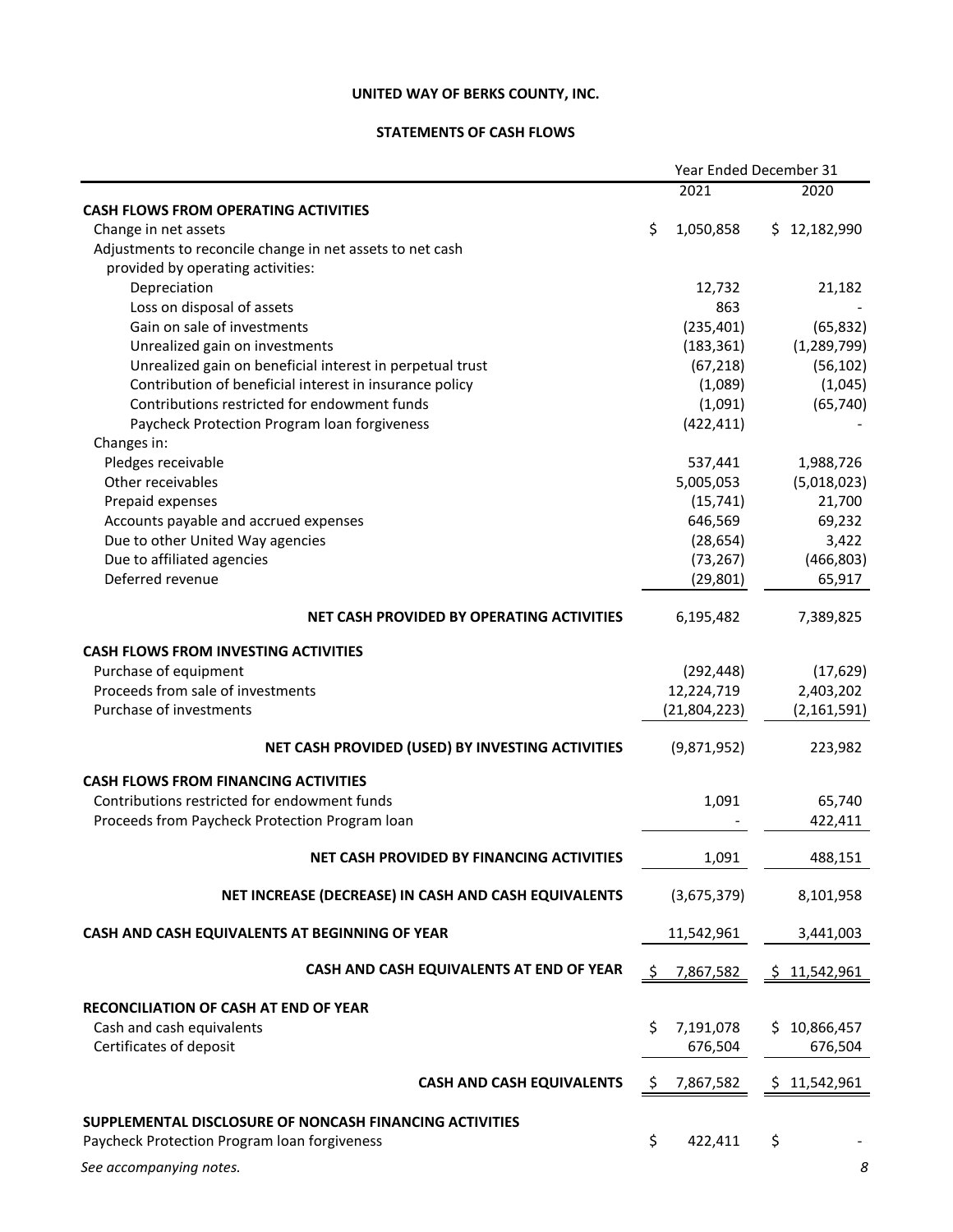## **STATEMENTS OF CASH FLOWS**

|                                                           |    | Year Ended December 31 |               |
|-----------------------------------------------------------|----|------------------------|---------------|
|                                                           |    | 2021                   | 2020          |
| <b>CASH FLOWS FROM OPERATING ACTIVITIES</b>               |    |                        |               |
| Change in net assets                                      | \$ | 1,050,858              | \$12,182,990  |
| Adjustments to reconcile change in net assets to net cash |    |                        |               |
| provided by operating activities:                         |    |                        |               |
| Depreciation                                              |    | 12,732                 | 21,182        |
| Loss on disposal of assets                                |    | 863                    |               |
| Gain on sale of investments                               |    | (235, 401)             | (65, 832)     |
| Unrealized gain on investments                            |    | (183, 361)             | (1, 289, 799) |
| Unrealized gain on beneficial interest in perpetual trust |    | (67, 218)              | (56, 102)     |
| Contribution of beneficial interest in insurance policy   |    | (1,089)                | (1,045)       |
| Contributions restricted for endowment funds              |    | (1,091)                | (65, 740)     |
| Paycheck Protection Program loan forgiveness              |    | (422, 411)             |               |
| Changes in:                                               |    |                        |               |
| Pledges receivable                                        |    | 537,441                | 1,988,726     |
| Other receivables                                         |    | 5,005,053              | (5,018,023)   |
| Prepaid expenses                                          |    | (15, 741)              | 21,700        |
| Accounts payable and accrued expenses                     |    | 646,569                | 69,232        |
| Due to other United Way agencies                          |    | (28, 654)              | 3,422         |
| Due to affiliated agencies                                |    | (73, 267)              | (466, 803)    |
| Deferred revenue                                          |    |                        |               |
|                                                           |    | (29, 801)              | 65,917        |
| NET CASH PROVIDED BY OPERATING ACTIVITIES                 |    | 6,195,482              | 7,389,825     |
| <b>CASH FLOWS FROM INVESTING ACTIVITIES</b>               |    |                        |               |
| Purchase of equipment                                     |    | (292, 448)             | (17, 629)     |
| Proceeds from sale of investments                         |    | 12,224,719             | 2,403,202     |
| Purchase of investments                                   |    | (21,804,223)           | (2, 161, 591) |
|                                                           |    |                        |               |
| NET CASH PROVIDED (USED) BY INVESTING ACTIVITIES          |    | (9,871,952)            | 223,982       |
| <b>CASH FLOWS FROM FINANCING ACTIVITIES</b>               |    |                        |               |
| Contributions restricted for endowment funds              |    | 1,091                  | 65,740        |
| Proceeds from Paycheck Protection Program loan            |    |                        | 422,411       |
|                                                           |    |                        |               |
| NET CASH PROVIDED BY FINANCING ACTIVITIES                 |    | 1,091                  | 488,151       |
| NET INCREASE (DECREASE) IN CASH AND CASH EQUIVALENTS      |    | (3,675,379)            | 8,101,958     |
| CASH AND CASH EQUIVALENTS AT BEGINNING OF YEAR            |    | 11,542,961             | 3,441,003     |
|                                                           |    |                        |               |
| CASH AND CASH EQUIVALENTS AT END OF YEAR                  | -Ş | 7,867,582              | \$11,542,961  |
| <b>RECONCILIATION OF CASH AT END OF YEAR</b>              |    |                        |               |
| Cash and cash equivalents                                 | \$ | 7,191,078              | \$10,866,457  |
| Certificates of deposit                                   |    | 676,504                | 676,504       |
|                                                           |    |                        |               |
| <b>CASH AND CASH EQUIVALENTS</b>                          | \$ | 7,867,582              | \$11,542,961  |
| SUPPLEMENTAL DISCLOSURE OF NONCASH FINANCING ACTIVITIES   |    |                        |               |
|                                                           | \$ | 422,411                | \$            |
| Paycheck Protection Program loan forgiveness              |    |                        |               |
| See accompanying notes.                                   |    |                        | 8             |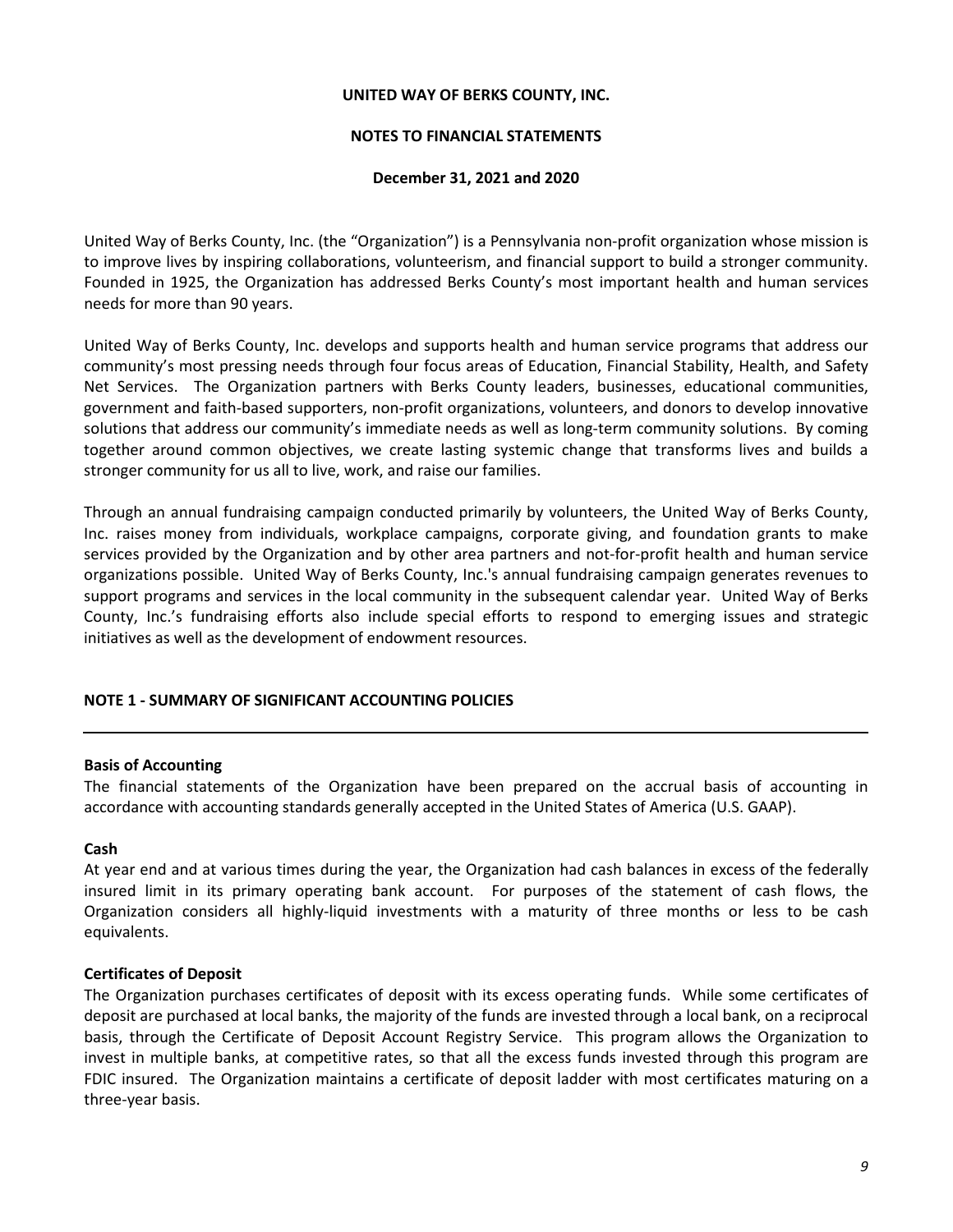## **NOTES TO FINANCIAL STATEMENTS**

### **December 31, 2021 and 2020**

United Way of Berks County, Inc. (the "Organization") is a Pennsylvania non-profit organization whose mission is to improve lives by inspiring collaborations, volunteerism, and financial support to build a stronger community. Founded in 1925, the Organization has addressed Berks County's most important health and human services needs for more than 90 years.

United Way of Berks County, Inc. develops and supports health and human service programs that address our community's most pressing needs through four focus areas of Education, Financial Stability, Health, and Safety Net Services. The Organization partners with Berks County leaders, businesses, educational communities, government and faith-based supporters, non-profit organizations, volunteers, and donors to develop innovative solutions that address our community's immediate needs as well as long-term community solutions. By coming together around common objectives, we create lasting systemic change that transforms lives and builds a stronger community for us all to live, work, and raise our families.

Through an annual fundraising campaign conducted primarily by volunteers, the United Way of Berks County, Inc. raises money from individuals, workplace campaigns, corporate giving, and foundation grants to make services provided by the Organization and by other area partners and not-for-profit health and human service organizations possible. United Way of Berks County, Inc.'s annual fundraising campaign generates revenues to support programs and services in the local community in the subsequent calendar year. United Way of Berks County, Inc.'s fundraising efforts also include special efforts to respond to emerging issues and strategic initiatives as well as the development of endowment resources.

## **NOTE 1 - SUMMARY OF SIGNIFICANT ACCOUNTING POLICIES**

## **Basis of Accounting**

The financial statements of the Organization have been prepared on the accrual basis of accounting in accordance with accounting standards generally accepted in the United States of America (U.S. GAAP).

#### **Cash**

At year end and at various times during the year, the Organization had cash balances in excess of the federally insured limit in its primary operating bank account. For purposes of the statement of cash flows, the Organization considers all highly-liquid investments with a maturity of three months or less to be cash equivalents.

## **Certificates of Deposit**

The Organization purchases certificates of deposit with its excess operating funds. While some certificates of deposit are purchased at local banks, the majority of the funds are invested through a local bank, on a reciprocal basis, through the Certificate of Deposit Account Registry Service. This program allows the Organization to invest in multiple banks, at competitive rates, so that all the excess funds invested through this program are FDIC insured. The Organization maintains a certificate of deposit ladder with most certificates maturing on a three-year basis.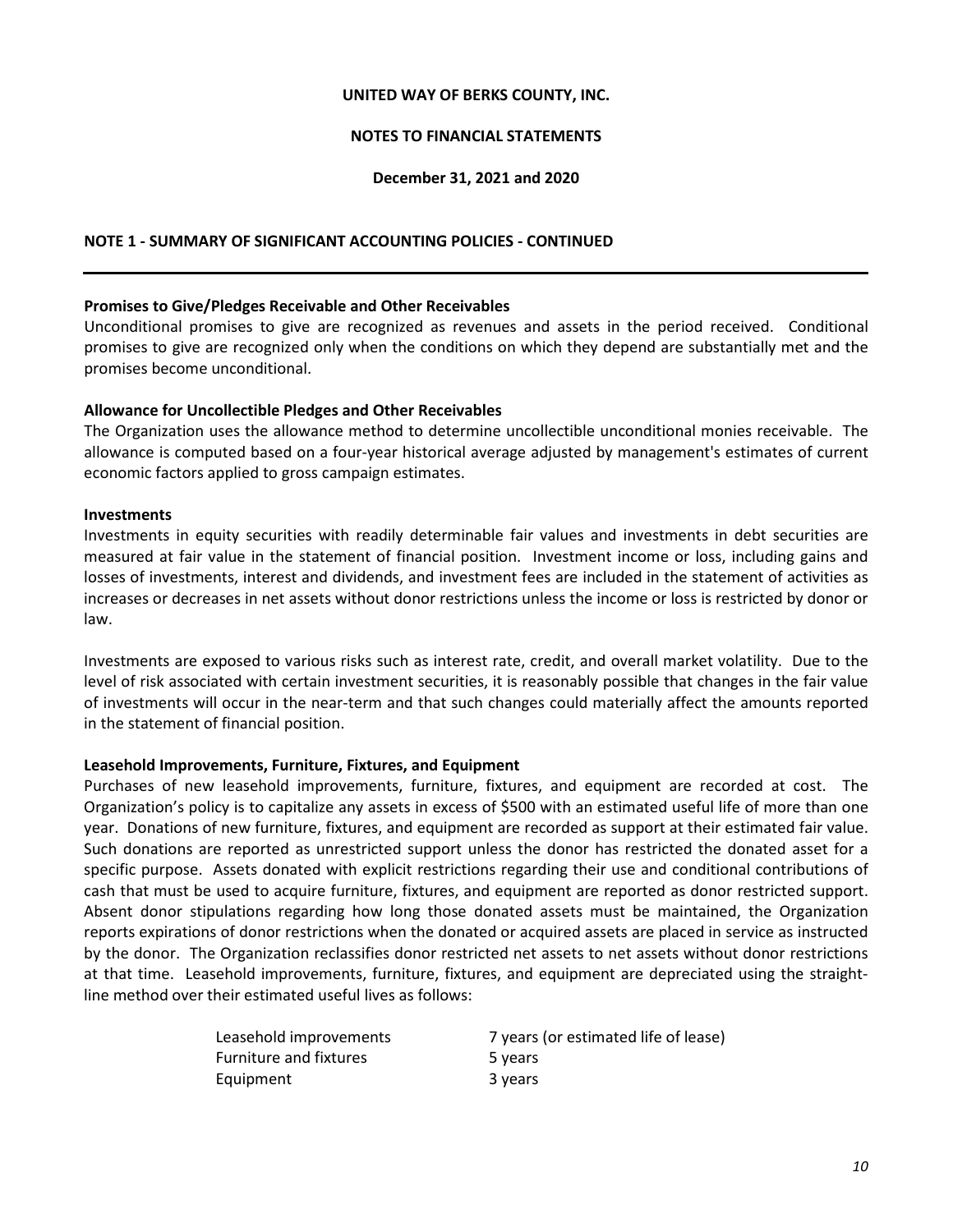## **NOTES TO FINANCIAL STATEMENTS**

### **December 31, 2021 and 2020**

## **NOTE 1 - SUMMARY OF SIGNIFICANT ACCOUNTING POLICIES - CONTINUED**

#### **Promises to Give/Pledges Receivable and Other Receivables**

Unconditional promises to give are recognized as revenues and assets in the period received. Conditional promises to give are recognized only when the conditions on which they depend are substantially met and the promises become unconditional.

### **Allowance for Uncollectible Pledges and Other Receivables**

The Organization uses the allowance method to determine uncollectible unconditional monies receivable. The allowance is computed based on a four-year historical average adjusted by management's estimates of current economic factors applied to gross campaign estimates.

#### **Investments**

Investments in equity securities with readily determinable fair values and investments in debt securities are measured at fair value in the statement of financial position. Investment income or loss, including gains and losses of investments, interest and dividends, and investment fees are included in the statement of activities as increases or decreases in net assets without donor restrictions unless the income or loss is restricted by donor or law.

Investments are exposed to various risks such as interest rate, credit, and overall market volatility. Due to the level of risk associated with certain investment securities, it is reasonably possible that changes in the fair value of investments will occur in the near-term and that such changes could materially affect the amounts reported in the statement of financial position.

#### **Leasehold Improvements, Furniture, Fixtures, and Equipment**

Purchases of new leasehold improvements, furniture, fixtures, and equipment are recorded at cost. The Organization's policy is to capitalize any assets in excess of \$500 with an estimated useful life of more than one year. Donations of new furniture, fixtures, and equipment are recorded as support at their estimated fair value. Such donations are reported as unrestricted support unless the donor has restricted the donated asset for a specific purpose. Assets donated with explicit restrictions regarding their use and conditional contributions of cash that must be used to acquire furniture, fixtures, and equipment are reported as donor restricted support. Absent donor stipulations regarding how long those donated assets must be maintained, the Organization reports expirations of donor restrictions when the donated or acquired assets are placed in service as instructed by the donor. The Organization reclassifies donor restricted net assets to net assets without donor restrictions at that time. Leasehold improvements, furniture, fixtures, and equipment are depreciated using the straightline method over their estimated useful lives as follows:

| Leasehold improvements        | 7 years (or estimated life of lease) |
|-------------------------------|--------------------------------------|
| <b>Furniture and fixtures</b> | 5 years                              |
| Equipment                     | 3 years                              |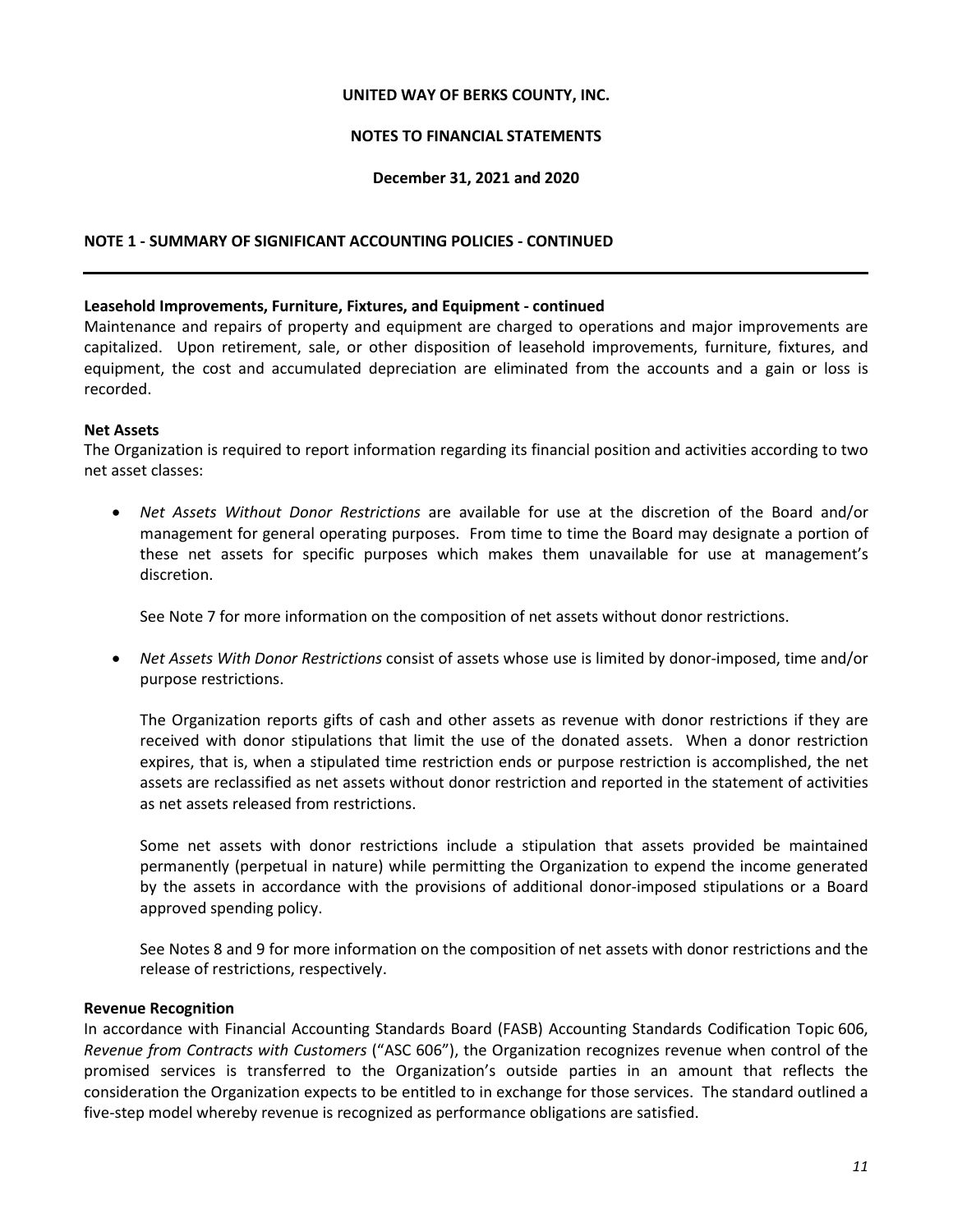## **NOTES TO FINANCIAL STATEMENTS**

#### **December 31, 2021 and 2020**

## **NOTE 1 - SUMMARY OF SIGNIFICANT ACCOUNTING POLICIES - CONTINUED**

#### **Leasehold Improvements, Furniture, Fixtures, and Equipment - continued**

Maintenance and repairs of property and equipment are charged to operations and major improvements are capitalized. Upon retirement, sale, or other disposition of leasehold improvements, furniture, fixtures, and equipment, the cost and accumulated depreciation are eliminated from the accounts and a gain or loss is recorded.

### **Net Assets**

The Organization is required to report information regarding its financial position and activities according to two net asset classes:

• *Net Assets Without Donor Restrictions* are available for use at the discretion of the Board and/or management for general operating purposes. From time to time the Board may designate a portion of these net assets for specific purposes which makes them unavailable for use at management's discretion.

See Note 7 for more information on the composition of net assets without donor restrictions.

• *Net Assets With Donor Restrictions* consist of assets whose use is limited by donor-imposed, time and/or purpose restrictions.

The Organization reports gifts of cash and other assets as revenue with donor restrictions if they are received with donor stipulations that limit the use of the donated assets. When a donor restriction expires, that is, when a stipulated time restriction ends or purpose restriction is accomplished, the net assets are reclassified as net assets without donor restriction and reported in the statement of activities as net assets released from restrictions.

Some net assets with donor restrictions include a stipulation that assets provided be maintained permanently (perpetual in nature) while permitting the Organization to expend the income generated by the assets in accordance with the provisions of additional donor-imposed stipulations or a Board approved spending policy.

See Notes 8 and 9 for more information on the composition of net assets with donor restrictions and the release of restrictions, respectively.

#### **Revenue Recognition**

In accordance with Financial Accounting Standards Board (FASB) Accounting Standards Codification Topic 606, *Revenue from Contracts with Customers* ("ASC 606"), the Organization recognizes revenue when control of the promised services is transferred to the Organization's outside parties in an amount that reflects the consideration the Organization expects to be entitled to in exchange for those services. The standard outlined a five-step model whereby revenue is recognized as performance obligations are satisfied.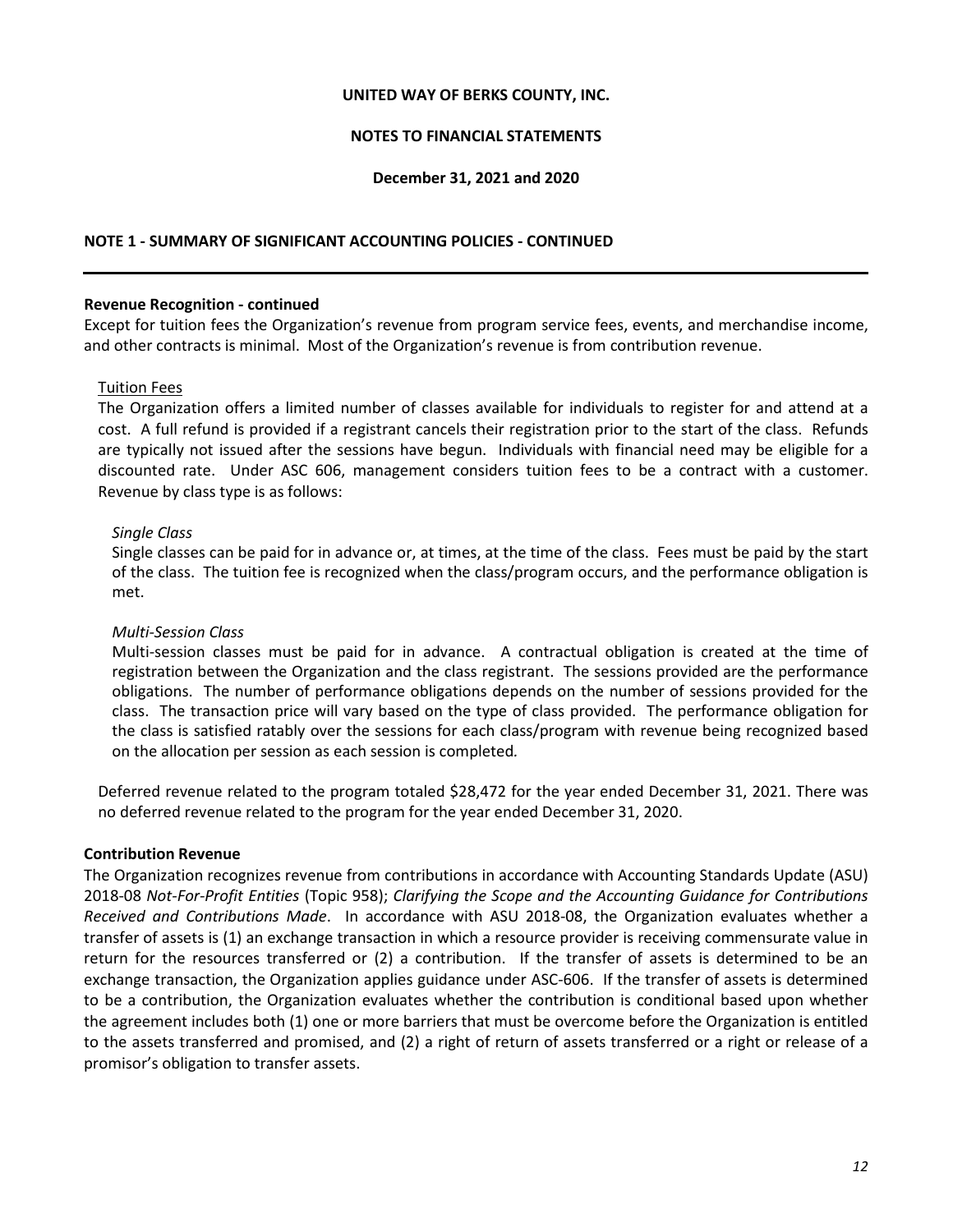## **NOTES TO FINANCIAL STATEMENTS**

#### **December 31, 2021 and 2020**

### **NOTE 1 - SUMMARY OF SIGNIFICANT ACCOUNTING POLICIES - CONTINUED**

#### **Revenue Recognition - continued**

Except for tuition fees the Organization's revenue from program service fees, events, and merchandise income, and other contracts is minimal. Most of the Organization's revenue is from contribution revenue.

#### Tuition Fees

The Organization offers a limited number of classes available for individuals to register for and attend at a cost. A full refund is provided if a registrant cancels their registration prior to the start of the class. Refunds are typically not issued after the sessions have begun. Individuals with financial need may be eligible for a discounted rate. Under ASC 606, management considers tuition fees to be a contract with a customer. Revenue by class type is as follows:

#### *Single Class*

Single classes can be paid for in advance or, at times, at the time of the class. Fees must be paid by the start of the class. The tuition fee is recognized when the class/program occurs, and the performance obligation is met.

#### *Multi-Session Class*

Multi-session classes must be paid for in advance. A contractual obligation is created at the time of registration between the Organization and the class registrant. The sessions provided are the performance obligations. The number of performance obligations depends on the number of sessions provided for the class. The transaction price will vary based on the type of class provided. The performance obligation for the class is satisfied ratably over the sessions for each class/program with revenue being recognized based on the allocation per session as each session is completed*.* 

Deferred revenue related to the program totaled \$28,472 for the year ended December 31, 2021. There was no deferred revenue related to the program for the year ended December 31, 2020.

#### **Contribution Revenue**

The Organization recognizes revenue from contributions in accordance with Accounting Standards Update (ASU) 2018-08 *Not-For-Profit Entities* (Topic 958); *Clarifying the Scope and the Accounting Guidance for Contributions Received and Contributions Made*. In accordance with ASU 2018-08, the Organization evaluates whether a transfer of assets is (1) an exchange transaction in which a resource provider is receiving commensurate value in return for the resources transferred or (2) a contribution. If the transfer of assets is determined to be an exchange transaction, the Organization applies guidance under ASC-606. If the transfer of assets is determined to be a contribution, the Organization evaluates whether the contribution is conditional based upon whether the agreement includes both (1) one or more barriers that must be overcome before the Organization is entitled to the assets transferred and promised, and (2) a right of return of assets transferred or a right or release of a promisor's obligation to transfer assets.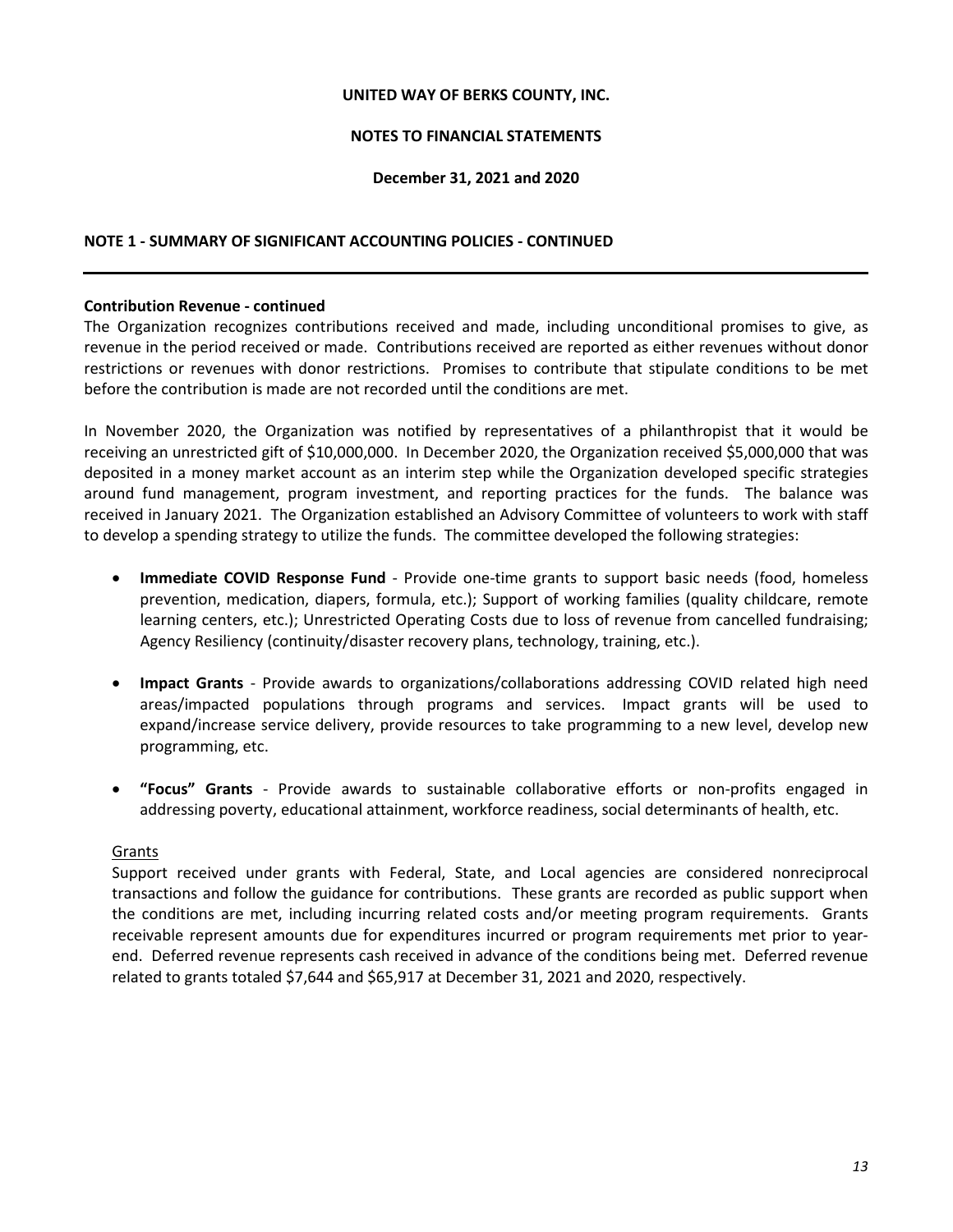## **NOTES TO FINANCIAL STATEMENTS**

### **December 31, 2021 and 2020**

### **NOTE 1 - SUMMARY OF SIGNIFICANT ACCOUNTING POLICIES - CONTINUED**

#### **Contribution Revenue - continued**

The Organization recognizes contributions received and made, including unconditional promises to give, as revenue in the period received or made. Contributions received are reported as either revenues without donor restrictions or revenues with donor restrictions. Promises to contribute that stipulate conditions to be met before the contribution is made are not recorded until the conditions are met.

In November 2020, the Organization was notified by representatives of a philanthropist that it would be receiving an unrestricted gift of \$10,000,000. In December 2020, the Organization received \$5,000,000 that was deposited in a money market account as an interim step while the Organization developed specific strategies around fund management, program investment, and reporting practices for the funds. The balance was received in January 2021. The Organization established an Advisory Committee of volunteers to work with staff to develop a spending strategy to utilize the funds. The committee developed the following strategies:

- **Immediate COVID Response Fund** Provide one-time grants to support basic needs (food, homeless prevention, medication, diapers, formula, etc.); Support of working families (quality childcare, remote learning centers, etc.); Unrestricted Operating Costs due to loss of revenue from cancelled fundraising; Agency Resiliency (continuity/disaster recovery plans, technology, training, etc.).
- **Impact Grants** Provide awards to organizations/collaborations addressing COVID related high need areas/impacted populations through programs and services. Impact grants will be used to expand/increase service delivery, provide resources to take programming to a new level, develop new programming, etc.
- **"Focus" Grants** Provide awards to sustainable collaborative efforts or non-profits engaged in addressing poverty, educational attainment, workforce readiness, social determinants of health, etc.

#### Grants

Support received under grants with Federal, State, and Local agencies are considered nonreciprocal transactions and follow the guidance for contributions. These grants are recorded as public support when the conditions are met, including incurring related costs and/or meeting program requirements. Grants receivable represent amounts due for expenditures incurred or program requirements met prior to yearend. Deferred revenue represents cash received in advance of the conditions being met. Deferred revenue related to grants totaled \$7,644 and \$65,917 at December 31, 2021 and 2020, respectively.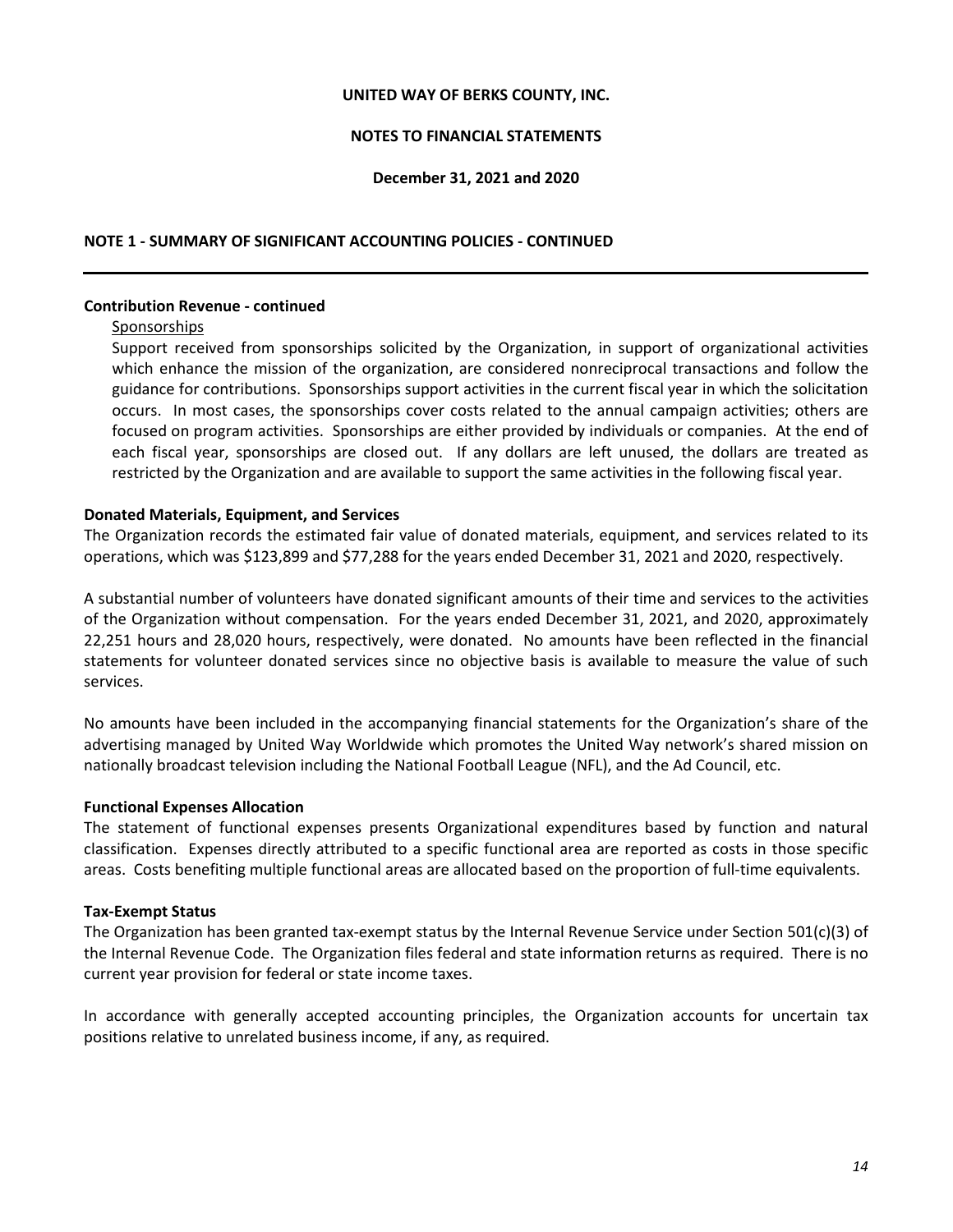## **NOTES TO FINANCIAL STATEMENTS**

### **December 31, 2021 and 2020**

### **NOTE 1 - SUMMARY OF SIGNIFICANT ACCOUNTING POLICIES - CONTINUED**

#### **Contribution Revenue - continued**

### Sponsorships

Support received from sponsorships solicited by the Organization, in support of organizational activities which enhance the mission of the organization, are considered nonreciprocal transactions and follow the guidance for contributions. Sponsorships support activities in the current fiscal year in which the solicitation occurs. In most cases, the sponsorships cover costs related to the annual campaign activities; others are focused on program activities. Sponsorships are either provided by individuals or companies. At the end of each fiscal year, sponsorships are closed out. If any dollars are left unused, the dollars are treated as restricted by the Organization and are available to support the same activities in the following fiscal year.

### **Donated Materials, Equipment, and Services**

The Organization records the estimated fair value of donated materials, equipment, and services related to its operations, which was \$123,899 and \$77,288 for the years ended December 31, 2021 and 2020, respectively.

A substantial number of volunteers have donated significant amounts of their time and services to the activities of the Organization without compensation. For the years ended December 31, 2021, and 2020, approximately 22,251 hours and 28,020 hours, respectively, were donated. No amounts have been reflected in the financial statements for volunteer donated services since no objective basis is available to measure the value of such services.

No amounts have been included in the accompanying financial statements for the Organization's share of the advertising managed by United Way Worldwide which promotes the United Way network's shared mission on nationally broadcast television including the National Football League (NFL), and the Ad Council, etc.

#### **Functional Expenses Allocation**

The statement of functional expenses presents Organizational expenditures based by function and natural classification. Expenses directly attributed to a specific functional area are reported as costs in those specific areas. Costs benefiting multiple functional areas are allocated based on the proportion of full-time equivalents.

## **Tax-Exempt Status**

The Organization has been granted tax-exempt status by the Internal Revenue Service under Section 501(c)(3) of the Internal Revenue Code. The Organization files federal and state information returns as required. There is no current year provision for federal or state income taxes.

In accordance with generally accepted accounting principles, the Organization accounts for uncertain tax positions relative to unrelated business income, if any, as required.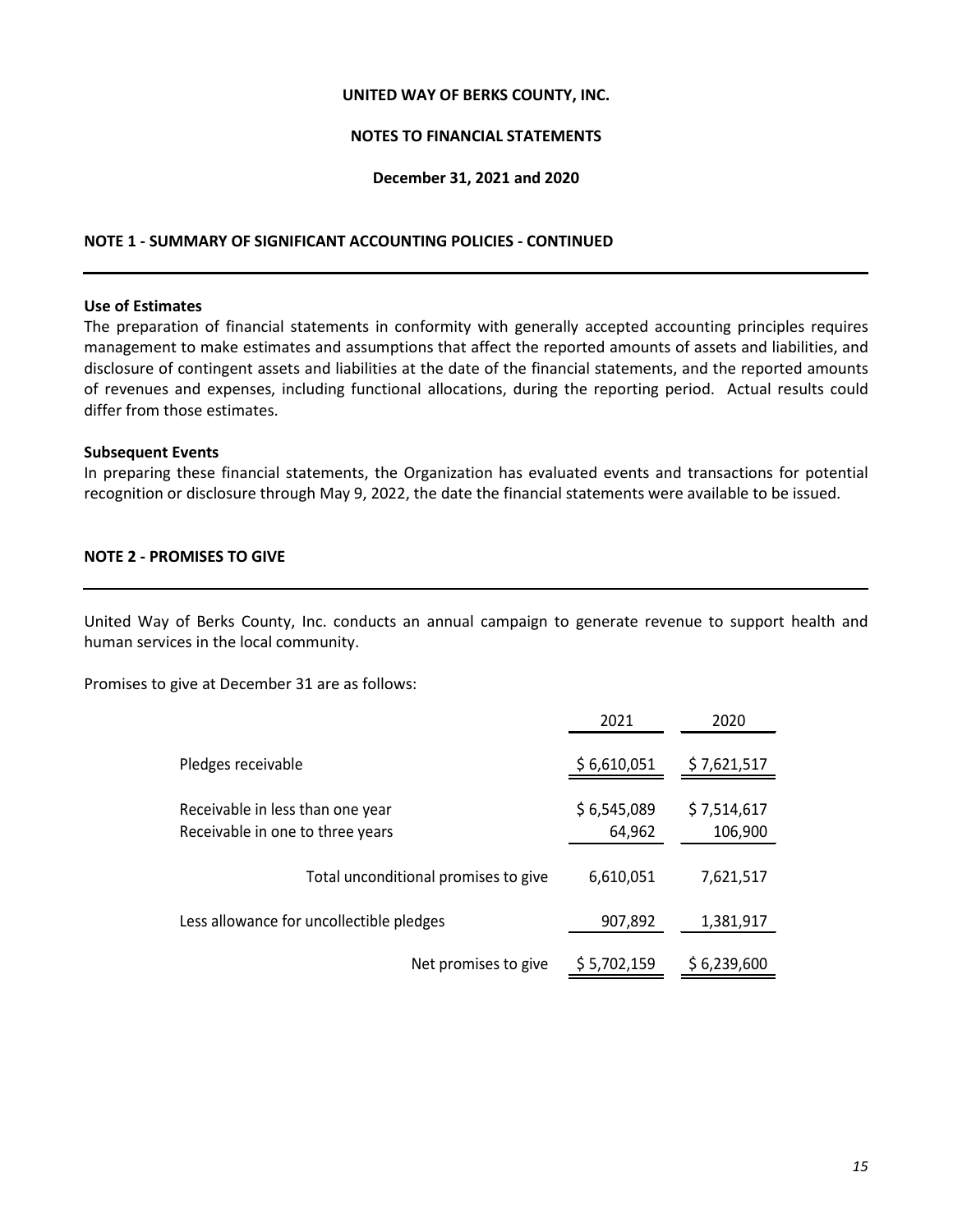## **NOTES TO FINANCIAL STATEMENTS**

### **December 31, 2021 and 2020**

## **NOTE 1 - SUMMARY OF SIGNIFICANT ACCOUNTING POLICIES - CONTINUED**

#### **Use of Estimates**

The preparation of financial statements in conformity with generally accepted accounting principles requires management to make estimates and assumptions that affect the reported amounts of assets and liabilities, and disclosure of contingent assets and liabilities at the date of the financial statements, and the reported amounts of revenues and expenses, including functional allocations, during the reporting period. Actual results could differ from those estimates.

#### **Subsequent Events**

In preparing these financial statements, the Organization has evaluated events and transactions for potential recognition or disclosure through May 9, 2022, the date the financial statements were available to be issued.

### **NOTE 2 - PROMISES TO GIVE**

United Way of Berks County, Inc. conducts an annual campaign to generate revenue to support health and human services in the local community.

Promises to give at December 31 are as follows:

|                                                                      | 2021                  | 2020                   |
|----------------------------------------------------------------------|-----------------------|------------------------|
| Pledges receivable                                                   | \$6,610,051           | \$7,621,517            |
| Receivable in less than one year<br>Receivable in one to three years | \$6,545,089<br>64,962 | \$7,514,617<br>106,900 |
| Total unconditional promises to give                                 | 6,610,051             | 7,621,517              |
| Less allowance for uncollectible pledges                             | 907,892               | 1,381,917              |
| Net promises to give                                                 | \$5,702,159           | \$6,239,600            |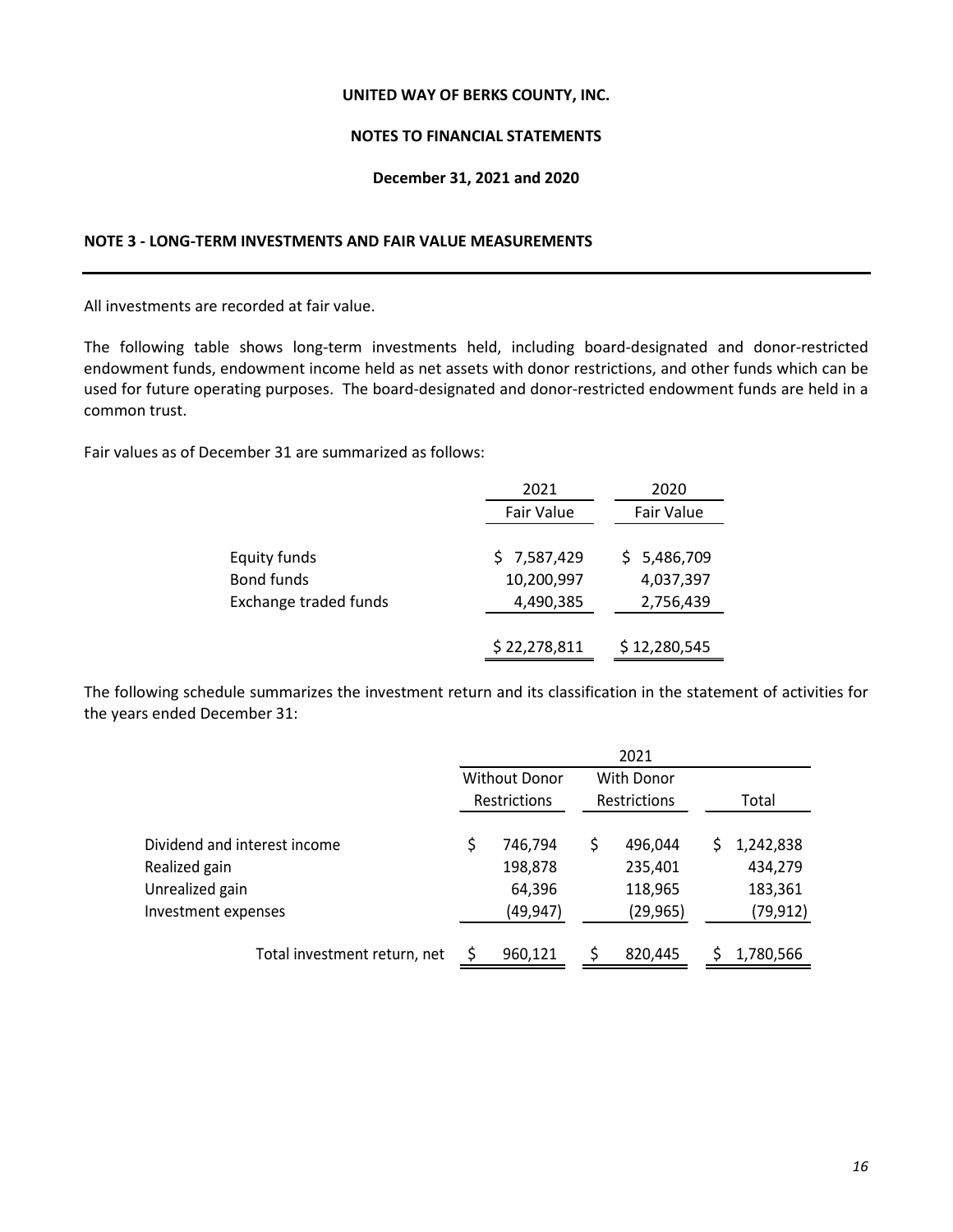## **NOTES TO FINANCIAL STATEMENTS**

#### **December 31, 2021 and 2020**

## **NOTE 3 - LONG-TERM INVESTMENTS AND FAIR VALUE MEASUREMENTS**

All investments are recorded at fair value.

The following table shows long-term investments held, including board-designated and donor-restricted endowment funds, endowment income held as net assets with donor restrictions, and other funds which can be used for future operating purposes. The board-designated and donor-restricted endowment funds are held in a common trust.

Fair values as of December 31 are summarized as follows:

| 2020         |
|--------------|
| Fair Value   |
|              |
| \$5,486,709  |
| 4,037,397    |
| 2,756,439    |
|              |
| \$12,280,545 |
|              |

The following schedule summarizes the investment return and its classification in the statement of activities for the years ended December 31:

|                            |                              | 2021 |                      |    |              |  |           |
|----------------------------|------------------------------|------|----------------------|----|--------------|--|-----------|
|                            |                              |      | <b>Without Donor</b> |    | With Donor   |  |           |
|                            |                              |      | Restrictions         |    | Restrictions |  | Total     |
|                            | Dividend and interest income | \$   | 746,794              | \$ | 496,044      |  | 1,242,838 |
| Realized gain              |                              |      | 198,878              |    | 235,401      |  | 434,279   |
| Unrealized gain            |                              |      | 64,396               |    | 118,965      |  | 183,361   |
| <b>Investment expenses</b> |                              |      | (49,947)             |    | (29, 965)    |  | (79, 912) |
|                            | Total investment return, net |      | 960,121              |    | 820,445      |  | 1,780,566 |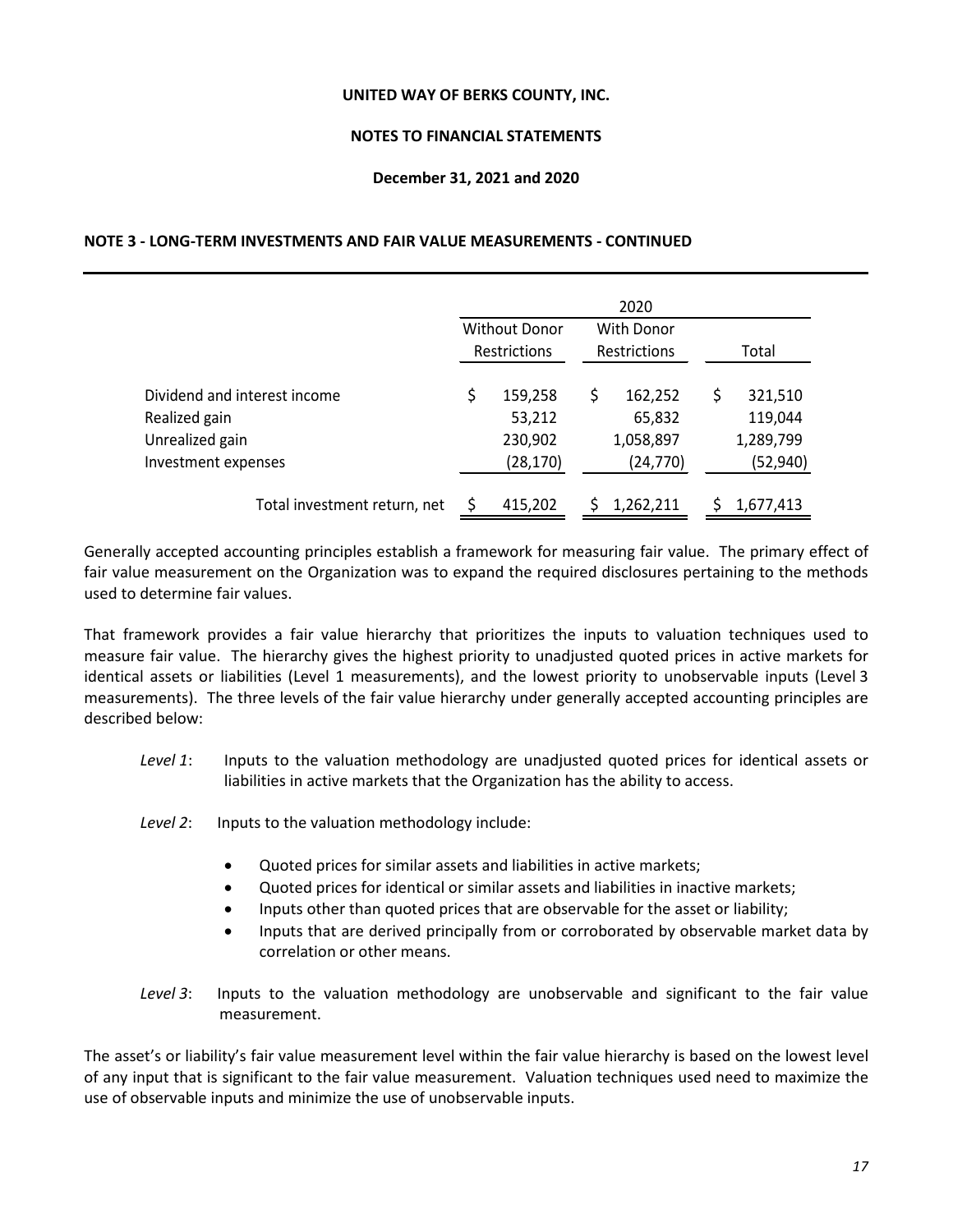## **NOTES TO FINANCIAL STATEMENTS**

### **December 31, 2021 and 2020**

### **NOTE 3 - LONG-TERM INVESTMENTS AND FAIR VALUE MEASUREMENTS - CONTINUED**

|                     |                              |   |                                      | 2020                       |   |           |
|---------------------|------------------------------|---|--------------------------------------|----------------------------|---|-----------|
|                     |                              |   | <b>Without Donor</b><br>Restrictions | With Donor<br>Restrictions |   | Total     |
|                     | Dividend and interest income | Ş | 159,258                              | 162,252                    | S | 321,510   |
| Realized gain       |                              |   | 53,212                               | 65,832                     |   | 119,044   |
| Unrealized gain     |                              |   | 230,902                              | 1,058,897                  |   | 1,289,799 |
| Investment expenses |                              |   | (28, 170)                            | (24, 770)                  |   | (52,940)  |
|                     | Total investment return, net |   | 415,202                              | 1,262,211                  |   | 1,677,413 |

Generally accepted accounting principles establish a framework for measuring fair value. The primary effect of fair value measurement on the Organization was to expand the required disclosures pertaining to the methods used to determine fair values.

That framework provides a fair value hierarchy that prioritizes the inputs to valuation techniques used to measure fair value. The hierarchy gives the highest priority to unadjusted quoted prices in active markets for identical assets or liabilities (Level 1 measurements), and the lowest priority to unobservable inputs (Level 3 measurements). The three levels of the fair value hierarchy under generally accepted accounting principles are described below:

- Level 1: Inputs to the valuation methodology are unadjusted quoted prices for identical assets or liabilities in active markets that the Organization has the ability to access.
- *Level 2*: Inputs to the valuation methodology include:
	- Quoted prices for similar assets and liabilities in active markets;
	- Quoted prices for identical or similar assets and liabilities in inactive markets;
	- Inputs other than quoted prices that are observable for the asset or liability;
	- Inputs that are derived principally from or corroborated by observable market data by correlation or other means.
- *Level 3*: Inputs to the valuation methodology are unobservable and significant to the fair value measurement.

The asset's or liability's fair value measurement level within the fair value hierarchy is based on the lowest level of any input that is significant to the fair value measurement. Valuation techniques used need to maximize the use of observable inputs and minimize the use of unobservable inputs.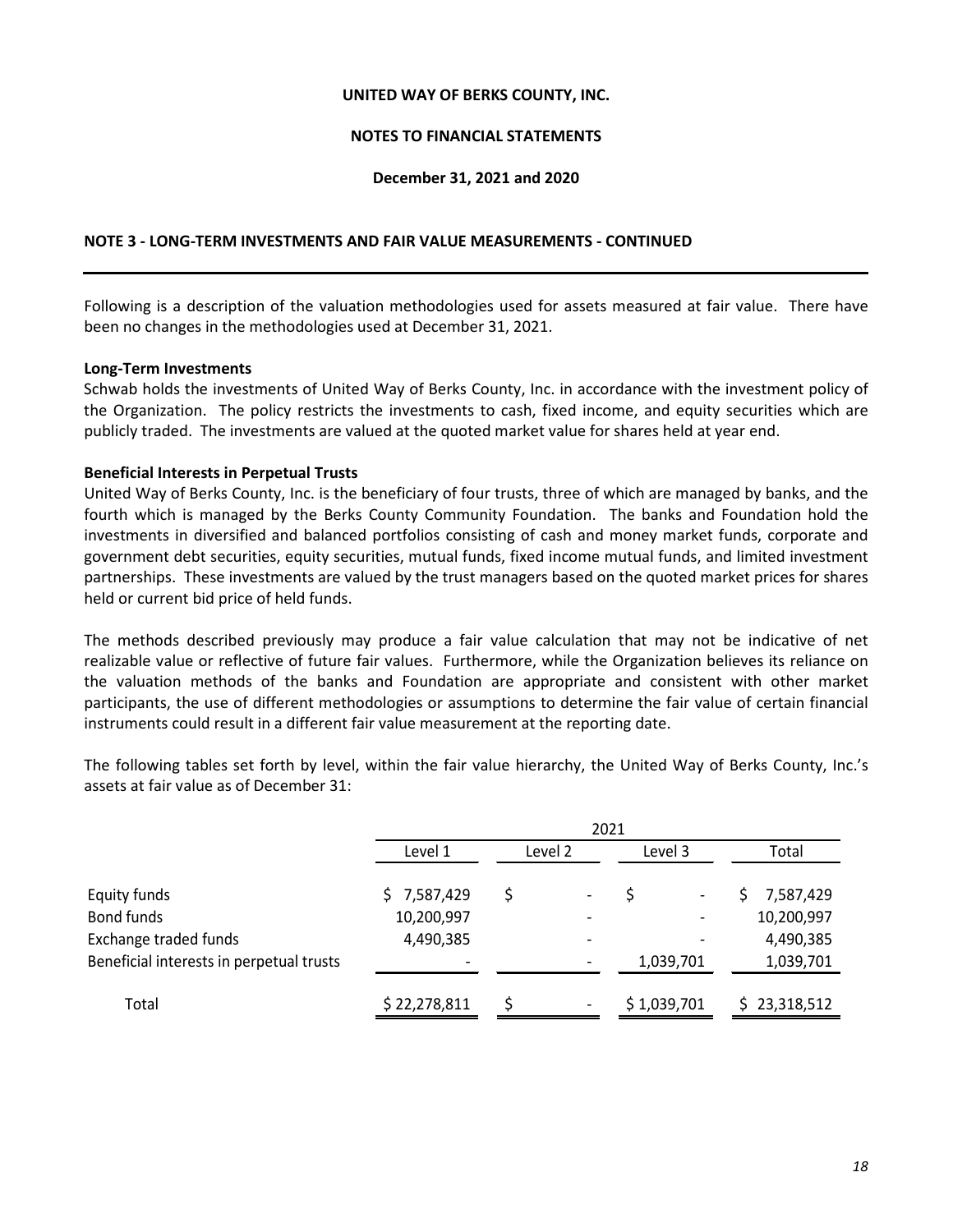## **NOTES TO FINANCIAL STATEMENTS**

#### **December 31, 2021 and 2020**

### **NOTE 3 - LONG-TERM INVESTMENTS AND FAIR VALUE MEASUREMENTS - CONTINUED**

Following is a description of the valuation methodologies used for assets measured at fair value. There have been no changes in the methodologies used at December 31, 2021.

### **Long-Term Investments**

Schwab holds the investments of United Way of Berks County, Inc. in accordance with the investment policy of the Organization. The policy restricts the investments to cash, fixed income, and equity securities which are publicly traded. The investments are valued at the quoted market value for shares held at year end.

### **Beneficial Interests in Perpetual Trusts**

United Way of Berks County, Inc. is the beneficiary of four trusts, three of which are managed by banks, and the fourth which is managed by the Berks County Community Foundation. The banks and Foundation hold the investments in diversified and balanced portfolios consisting of cash and money market funds, corporate and government debt securities, equity securities, mutual funds, fixed income mutual funds, and limited investment partnerships. These investments are valued by the trust managers based on the quoted market prices for shares held or current bid price of held funds.

The methods described previously may produce a fair value calculation that may not be indicative of net realizable value or reflective of future fair values. Furthermore, while the Organization believes its reliance on the valuation methods of the banks and Foundation are appropriate and consistent with other market participants, the use of different methodologies or assumptions to determine the fair value of certain financial instruments could result in a different fair value measurement at the reporting date.

The following tables set forth by level, within the fair value hierarchy, the United Way of Berks County, Inc.'s assets at fair value as of December 31:

|                                          | 2021            |  |                          |                          |              |  |
|------------------------------------------|-----------------|--|--------------------------|--------------------------|--------------|--|
|                                          | Level 1         |  | Level 2                  | Level 3                  | Total        |  |
| Equity funds                             | 7,587,429<br>S. |  | $\overline{\phantom{a}}$ | $\overline{\phantom{a}}$ | 7,587,429    |  |
| <b>Bond funds</b>                        | 10,200,997      |  | $\overline{\phantom{a}}$ |                          | 10,200,997   |  |
| Exchange traded funds                    | 4,490,385       |  |                          |                          | 4,490,385    |  |
| Beneficial interests in perpetual trusts |                 |  |                          | 1,039,701                | 1,039,701    |  |
| Total                                    | \$22,278,811    |  | $\overline{\phantom{a}}$ | \$1,039,701              | \$23,318,512 |  |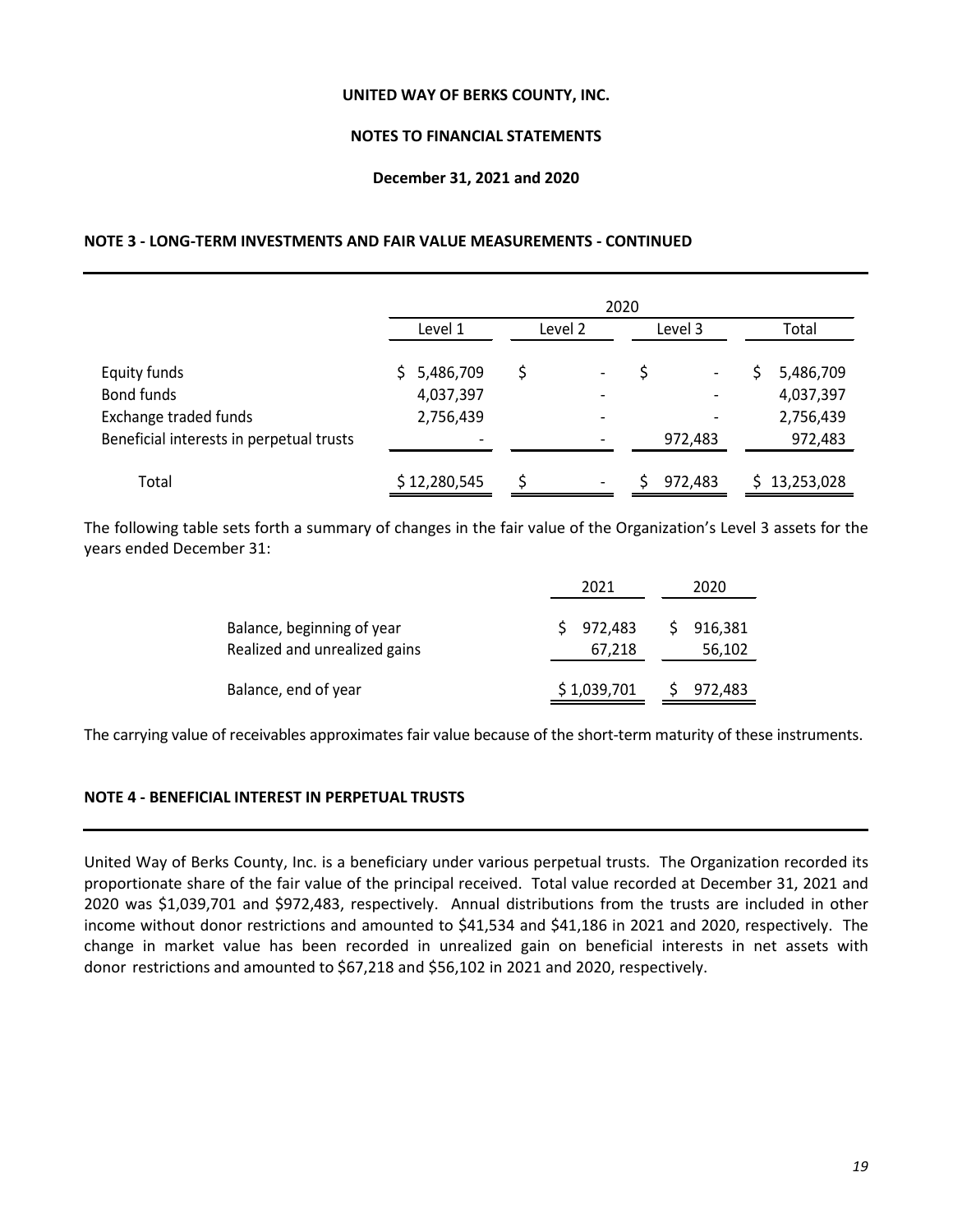## **NOTES TO FINANCIAL STATEMENTS**

### **December 31, 2021 and 2020**

#### **NOTE 3 - LONG-TERM INVESTMENTS AND FAIR VALUE MEASUREMENTS - CONTINUED**

|                                          |                 |         |                          | 2020    |                                       |
|------------------------------------------|-----------------|---------|--------------------------|---------|---------------------------------------|
|                                          | Level 1         | Level 2 |                          | Level 3 | Total                                 |
| Equity funds                             | 5,486,709<br>S. |         | $\overline{\phantom{a}}$ |         | 5,486,709<br>-                        |
| Bond funds                               | 4,037,397       |         | $\overline{\phantom{0}}$ |         | 4,037,397<br>$\overline{\phantom{0}}$ |
| Exchange traded funds                    | 2,756,439       |         | $\overline{\phantom{0}}$ |         | 2,756,439<br>$\overline{a}$           |
| Beneficial interests in perpetual trusts | ٠               |         |                          | 972,483 | 972,483                               |
| Total                                    | \$12,280,545    |         | ۰                        | 972,483 | 13,253,028                            |

The following table sets forth a summary of changes in the fair value of the Organization's Level 3 assets for the years ended December 31:

|                                                             | 2021              | 2020              |  |
|-------------------------------------------------------------|-------------------|-------------------|--|
| Balance, beginning of year<br>Realized and unrealized gains | 972,483<br>67,218 | 916,381<br>56,102 |  |
| Balance, end of year                                        | \$1,039,701       | 972,483           |  |

The carrying value of receivables approximates fair value because of the short-term maturity of these instruments.

## **NOTE 4 - BENEFICIAL INTEREST IN PERPETUAL TRUSTS**

United Way of Berks County, Inc. is a beneficiary under various perpetual trusts. The Organization recorded its proportionate share of the fair value of the principal received. Total value recorded at December 31, 2021 and 2020 was \$1,039,701 and \$972,483, respectively. Annual distributions from the trusts are included in other income without donor restrictions and amounted to \$41,534 and \$41,186 in 2021 and 2020, respectively. The change in market value has been recorded in unrealized gain on beneficial interests in net assets with donor restrictions and amounted to \$67,218 and \$56,102 in 2021 and 2020, respectively.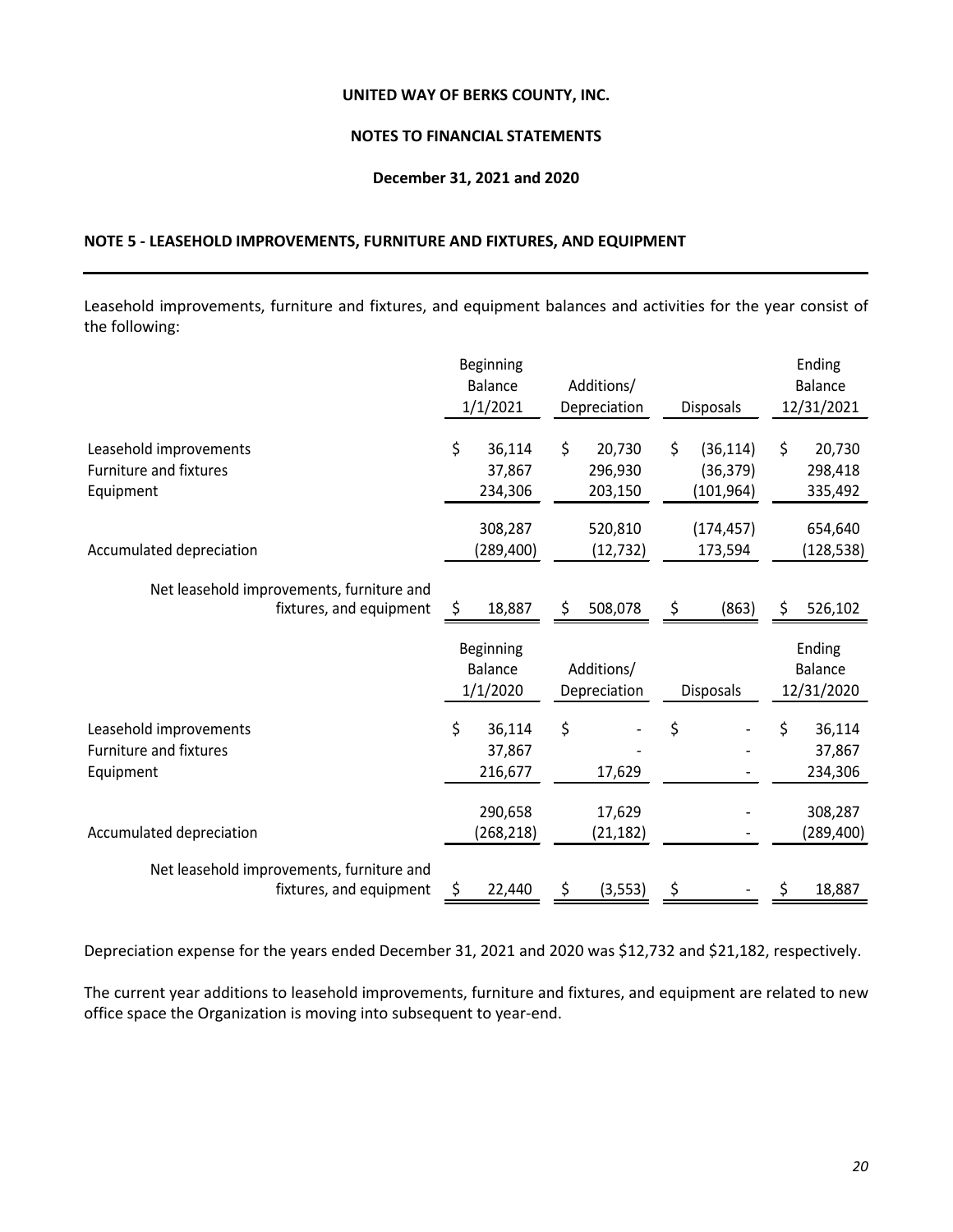## **NOTES TO FINANCIAL STATEMENTS**

#### **December 31, 2021 and 2020**

## **NOTE 5 - LEASEHOLD IMPROVEMENTS, FURNITURE AND FIXTURES, AND EQUIPMENT**

Leasehold improvements, furniture and fixtures, and equipment balances and activities for the year consist of the following:

|                                                                      |    | Beginning<br><b>Balance</b><br>1/1/2021 | Additions/<br>Depreciation         | <b>Disposals</b>                          |    | Ending<br><b>Balance</b><br>12/31/2021 |
|----------------------------------------------------------------------|----|-----------------------------------------|------------------------------------|-------------------------------------------|----|----------------------------------------|
| Leasehold improvements<br><b>Furniture and fixtures</b><br>Equipment | \$ | 36,114<br>37,867<br>234,306             | \$<br>20,730<br>296,930<br>203,150 | \$<br>(36, 114)<br>(36, 379)<br>(101,964) | \$ | 20,730<br>298,418<br>335,492           |
| Accumulated depreciation                                             |    | 308,287<br>(289,400)                    | 520,810<br>(12, 732)               | (174, 457)<br>173,594                     |    | 654,640<br>(128, 538)                  |
| Net leasehold improvements, furniture and<br>fixtures, and equipment |    | 18,887                                  | 508,078                            | \$<br>(863)                               |    | 526,102                                |
|                                                                      |    | Beginning<br><b>Balance</b><br>1/1/2020 | Additions/<br>Depreciation         | <b>Disposals</b>                          |    | Ending<br><b>Balance</b><br>12/31/2020 |
| Leasehold improvements<br><b>Furniture and fixtures</b><br>Equipment | Ś. | 36,114<br>37,867<br>216,677             | \$<br>17,629                       | \$                                        | Ś  | 36,114<br>37,867<br>234,306            |
| Accumulated depreciation                                             |    | 290,658<br>(268, 218)                   | 17,629<br>(21, 182)                |                                           |    | 308,287<br>(289, 400)                  |
| Net leasehold improvements, furniture and<br>fixtures, and equipment |    | 22,440                                  | (3, 553)                           |                                           |    | 18,887                                 |

Depreciation expense for the years ended December 31, 2021 and 2020 was \$12,732 and \$21,182, respectively.

The current year additions to leasehold improvements, furniture and fixtures, and equipment are related to new office space the Organization is moving into subsequent to year-end.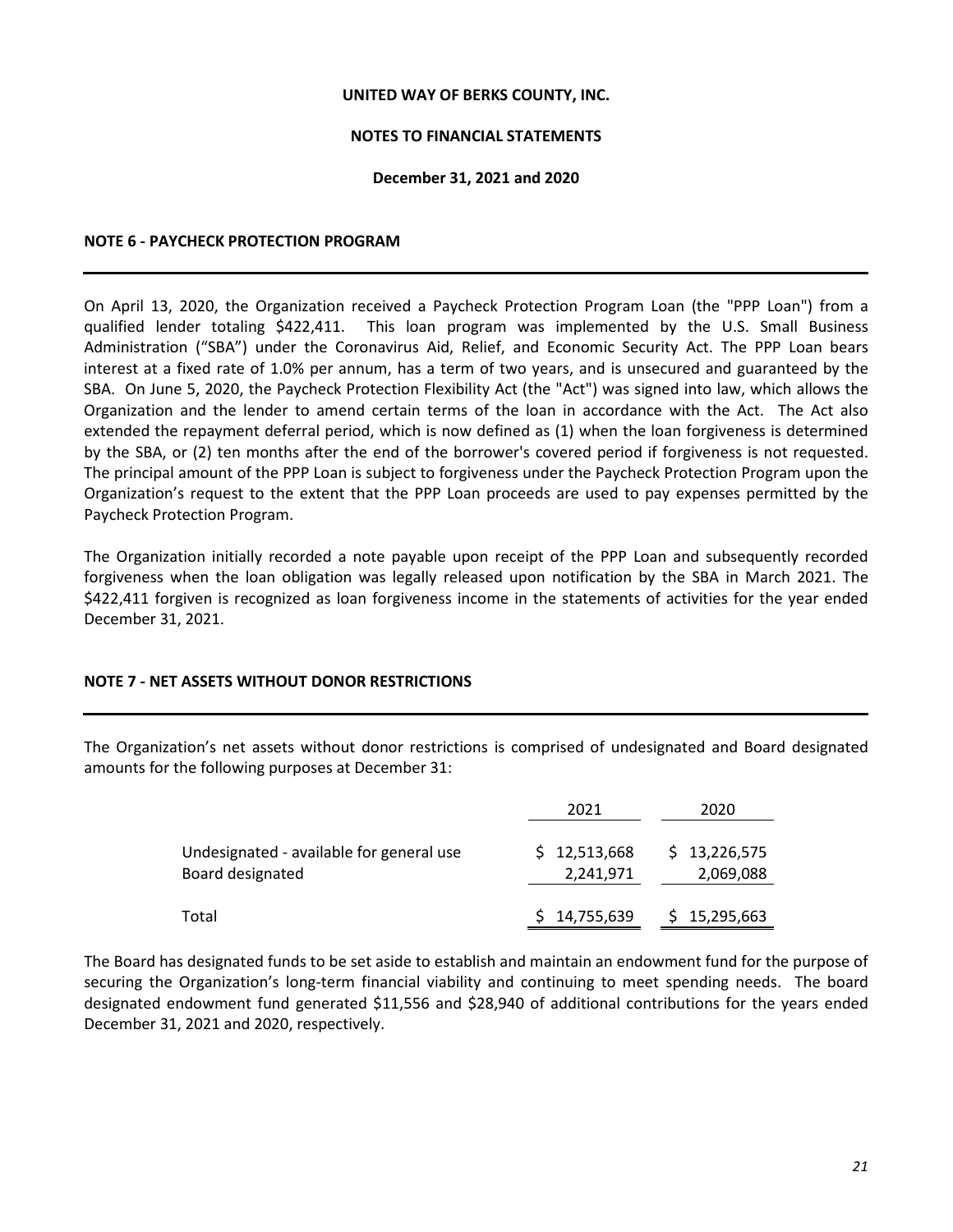## **NOTES TO FINANCIAL STATEMENTS**

#### **December 31, 2021 and 2020**

### **NOTE 6 - PAYCHECK PROTECTION PROGRAM**

On April 13, 2020, the Organization received a Paycheck Protection Program Loan (the "PPP Loan") from a qualified lender totaling \$422,411. This loan program was implemented by the U.S. Small Business Administration ("SBA") under the Coronavirus Aid, Relief, and Economic Security Act. The PPP Loan bears interest at a fixed rate of 1.0% per annum, has a term of two years, and is unsecured and guaranteed by the SBA. On June 5, 2020, the Paycheck Protection Flexibility Act (the "Act") was signed into law, which allows the Organization and the lender to amend certain terms of the loan in accordance with the Act. The Act also extended the repayment deferral period, which is now defined as (1) when the loan forgiveness is determined by the SBA, or (2) ten months after the end of the borrower's covered period if forgiveness is not requested. The principal amount of the PPP Loan is subject to forgiveness under the Paycheck Protection Program upon the Organization's request to the extent that the PPP Loan proceeds are used to pay expenses permitted by the Paycheck Protection Program.

The Organization initially recorded a note payable upon receipt of the PPP Loan and subsequently recorded forgiveness when the loan obligation was legally released upon notification by the SBA in March 2021. The \$422,411 forgiven is recognized as loan forgiveness income in the statements of activities for the year ended December 31, 2021.

## **NOTE 7 - NET ASSETS WITHOUT DONOR RESTRICTIONS**

The Organization's net assets without donor restrictions is comprised of undesignated and Board designated amounts for the following purposes at December 31:

|                                                              | 2021                      | 2020                      |
|--------------------------------------------------------------|---------------------------|---------------------------|
| Undesignated - available for general use<br>Board designated | \$12,513,668<br>2,241,971 | \$13,226,575<br>2,069,088 |
| Total                                                        | \$14,755,639              | \$15,295,663              |

The Board has designated funds to be set aside to establish and maintain an endowment fund for the purpose of securing the Organization's long-term financial viability and continuing to meet spending needs. The board designated endowment fund generated \$11,556 and \$28,940 of additional contributions for the years ended December 31, 2021 and 2020, respectively.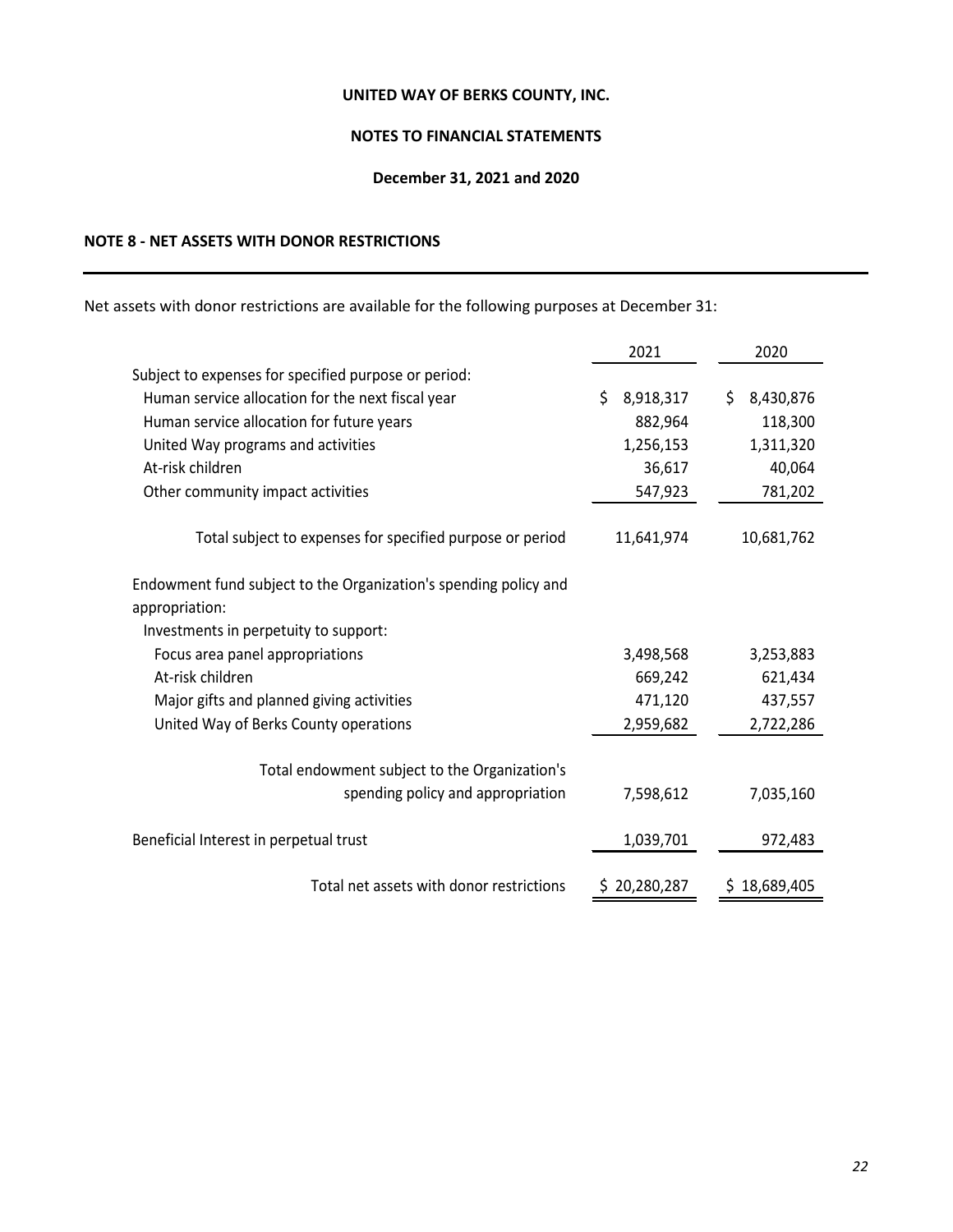## **NOTES TO FINANCIAL STATEMENTS**

## **December 31, 2021 and 2020**

## **NOTE 8 - NET ASSETS WITH DONOR RESTRICTIONS**

Net assets with donor restrictions are available for the following purposes at December 31:

|                                                                  | 2021            | 2020             |
|------------------------------------------------------------------|-----------------|------------------|
| Subject to expenses for specified purpose or period:             |                 |                  |
| Human service allocation for the next fiscal year                | \$<br>8,918,317 | 8,430,876<br>\$. |
| Human service allocation for future years                        | 882,964         | 118,300          |
| United Way programs and activities                               | 1,256,153       | 1,311,320        |
| At-risk children                                                 | 36,617          | 40,064           |
| Other community impact activities                                | 547,923         | 781,202          |
|                                                                  |                 |                  |
| Total subject to expenses for specified purpose or period        | 11,641,974      | 10,681,762       |
|                                                                  |                 |                  |
| Endowment fund subject to the Organization's spending policy and |                 |                  |
| appropriation:                                                   |                 |                  |
| Investments in perpetuity to support:                            |                 |                  |
| Focus area panel appropriations                                  | 3,498,568       | 3,253,883        |
| At-risk children                                                 | 669,242         | 621,434          |
| Major gifts and planned giving activities                        | 471,120         | 437,557          |
| United Way of Berks County operations                            | 2,959,682       | 2,722,286        |
|                                                                  |                 |                  |
| Total endowment subject to the Organization's                    |                 |                  |
| spending policy and appropriation                                | 7,598,612       | 7,035,160        |
|                                                                  |                 |                  |
| Beneficial Interest in perpetual trust                           | 1,039,701       | 972,483          |
| Total net assets with donor restrictions                         | \$20,280,287    | \$18,689,405     |
|                                                                  |                 |                  |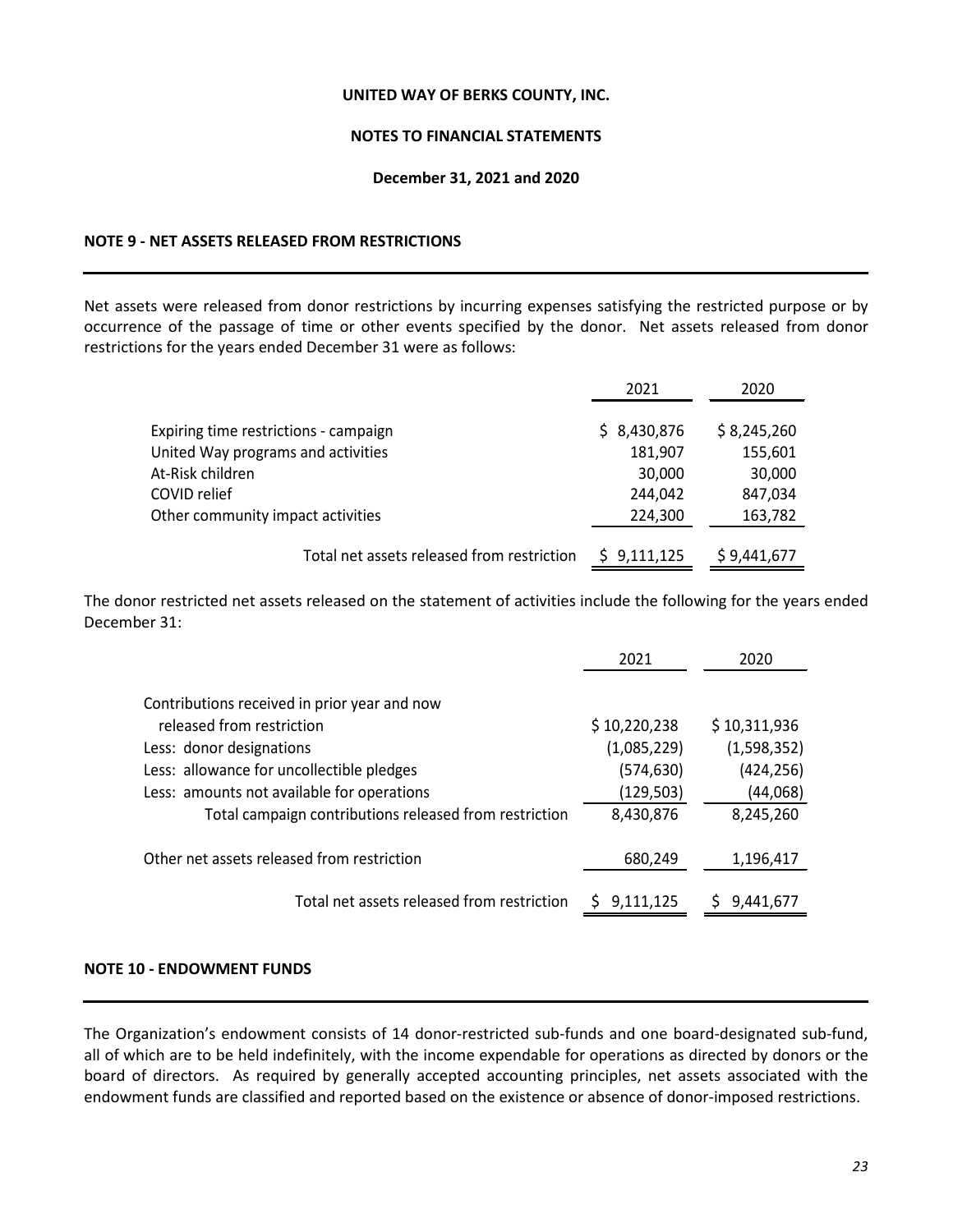## **NOTES TO FINANCIAL STATEMENTS**

#### **December 31, 2021 and 2020**

### **NOTE 9 - NET ASSETS RELEASED FROM RESTRICTIONS**

Net assets were released from donor restrictions by incurring expenses satisfying the restricted purpose or by occurrence of the passage of time or other events specified by the donor. Net assets released from donor restrictions for the years ended December 31 were as follows:

|                                            | 2021        | 2020        |
|--------------------------------------------|-------------|-------------|
|                                            |             |             |
| Expiring time restrictions - campaign      | \$8,430,876 | \$8,245,260 |
| United Way programs and activities         | 181,907     | 155,601     |
| At-Risk children                           | 30,000      | 30,000      |
| COVID relief                               | 244,042     | 847,034     |
| Other community impact activities          | 224,300     | 163,782     |
|                                            |             |             |
| Total net assets released from restriction | \$9,111,125 | \$9,441,677 |

The donor restricted net assets released on the statement of activities include the following for the years ended December 31:

|                                                                           | 2021         | 2020         |
|---------------------------------------------------------------------------|--------------|--------------|
| Contributions received in prior year and now<br>released from restriction | \$10,220,238 | \$10,311,936 |
| Less: donor designations                                                  | (1,085,229)  | (1,598,352)  |
| Less: allowance for uncollectible pledges                                 | (574,630)    | (424, 256)   |
| Less: amounts not available for operations                                | (129, 503)   | (44,068)     |
| Total campaign contributions released from restriction                    | 8,430,876    | 8,245,260    |
| Other net assets released from restriction                                | 680,249      | 1,196,417    |
| Total net assets released from restriction                                | 9,111,125    | 9,441,677    |

## **NOTE 10 - ENDOWMENT FUNDS**

The Organization's endowment consists of 14 donor-restricted sub-funds and one board-designated sub-fund, all of which are to be held indefinitely, with the income expendable for operations as directed by donors or the board of directors. As required by generally accepted accounting principles, net assets associated with the endowment funds are classified and reported based on the existence or absence of donor-imposed restrictions.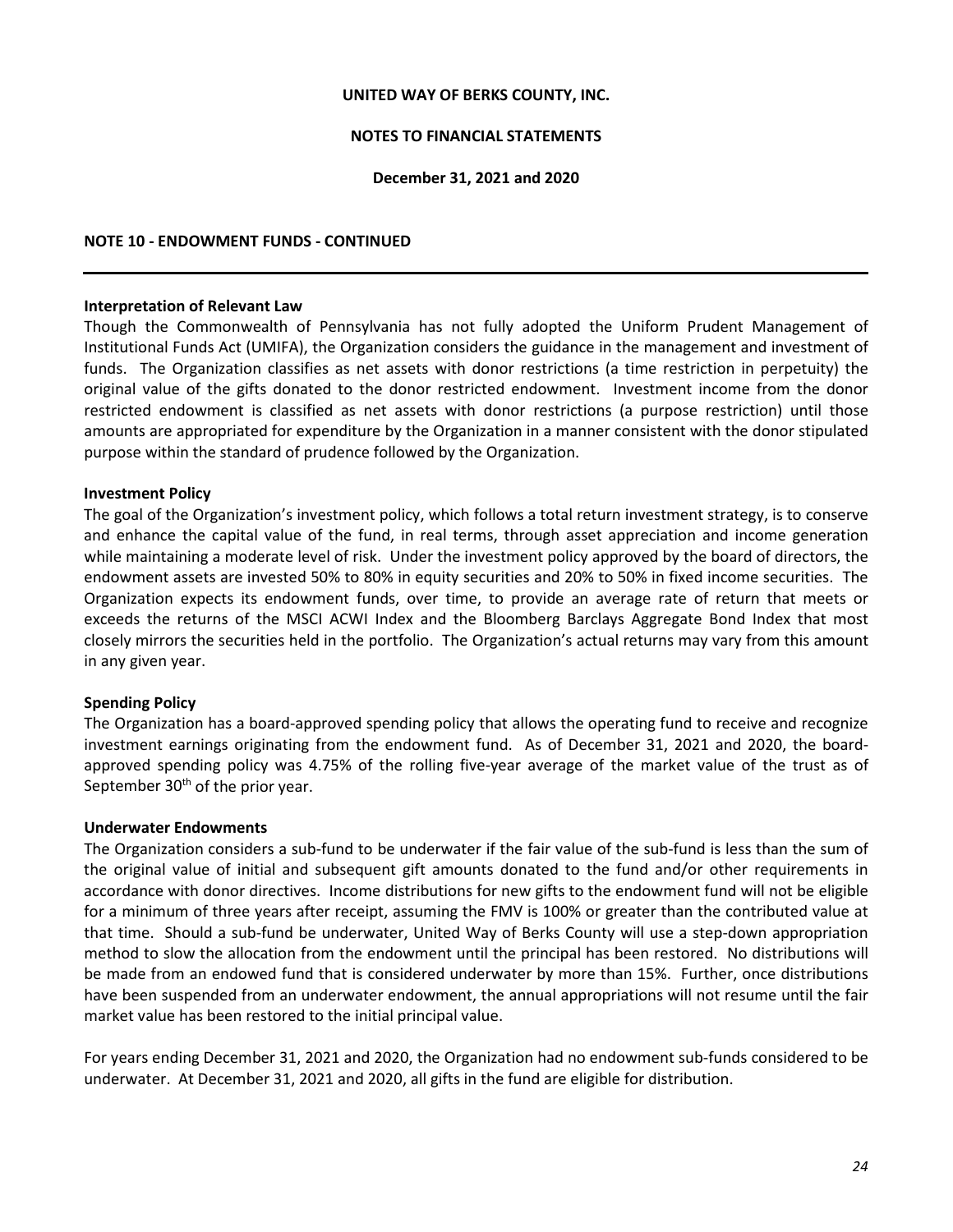## **NOTES TO FINANCIAL STATEMENTS**

#### **December 31, 2021 and 2020**

### **NOTE 10 - ENDOWMENT FUNDS - CONTINUED**

#### **Interpretation of Relevant Law**

Though the Commonwealth of Pennsylvania has not fully adopted the Uniform Prudent Management of Institutional Funds Act (UMIFA), the Organization considers the guidance in the management and investment of funds. The Organization classifies as net assets with donor restrictions (a time restriction in perpetuity) the original value of the gifts donated to the donor restricted endowment. Investment income from the donor restricted endowment is classified as net assets with donor restrictions (a purpose restriction) until those amounts are appropriated for expenditure by the Organization in a manner consistent with the donor stipulated purpose within the standard of prudence followed by the Organization.

### **Investment Policy**

The goal of the Organization's investment policy, which follows a total return investment strategy, is to conserve and enhance the capital value of the fund, in real terms, through asset appreciation and income generation while maintaining a moderate level of risk. Under the investment policy approved by the board of directors, the endowment assets are invested 50% to 80% in equity securities and 20% to 50% in fixed income securities. The Organization expects its endowment funds, over time, to provide an average rate of return that meets or exceeds the returns of the MSCI ACWI Index and the Bloomberg Barclays Aggregate Bond Index that most closely mirrors the securities held in the portfolio. The Organization's actual returns may vary from this amount in any given year.

## **Spending Policy**

The Organization has a board-approved spending policy that allows the operating fund to receive and recognize investment earnings originating from the endowment fund. As of December 31, 2021 and 2020, the boardapproved spending policy was 4.75% of the rolling five-year average of the market value of the trust as of September 30<sup>th</sup> of the prior year.

#### **Underwater Endowments**

The Organization considers a sub-fund to be underwater if the fair value of the sub-fund is less than the sum of the original value of initial and subsequent gift amounts donated to the fund and/or other requirements in accordance with donor directives. Income distributions for new gifts to the endowment fund will not be eligible for a minimum of three years after receipt, assuming the FMV is 100% or greater than the contributed value at that time. Should a sub-fund be underwater, United Way of Berks County will use a step-down appropriation method to slow the allocation from the endowment until the principal has been restored. No distributions will be made from an endowed fund that is considered underwater by more than 15%. Further, once distributions have been suspended from an underwater endowment, the annual appropriations will not resume until the fair market value has been restored to the initial principal value.

For years ending December 31, 2021 and 2020, the Organization had no endowment sub-funds considered to be underwater. At December 31, 2021 and 2020, all gifts in the fund are eligible for distribution.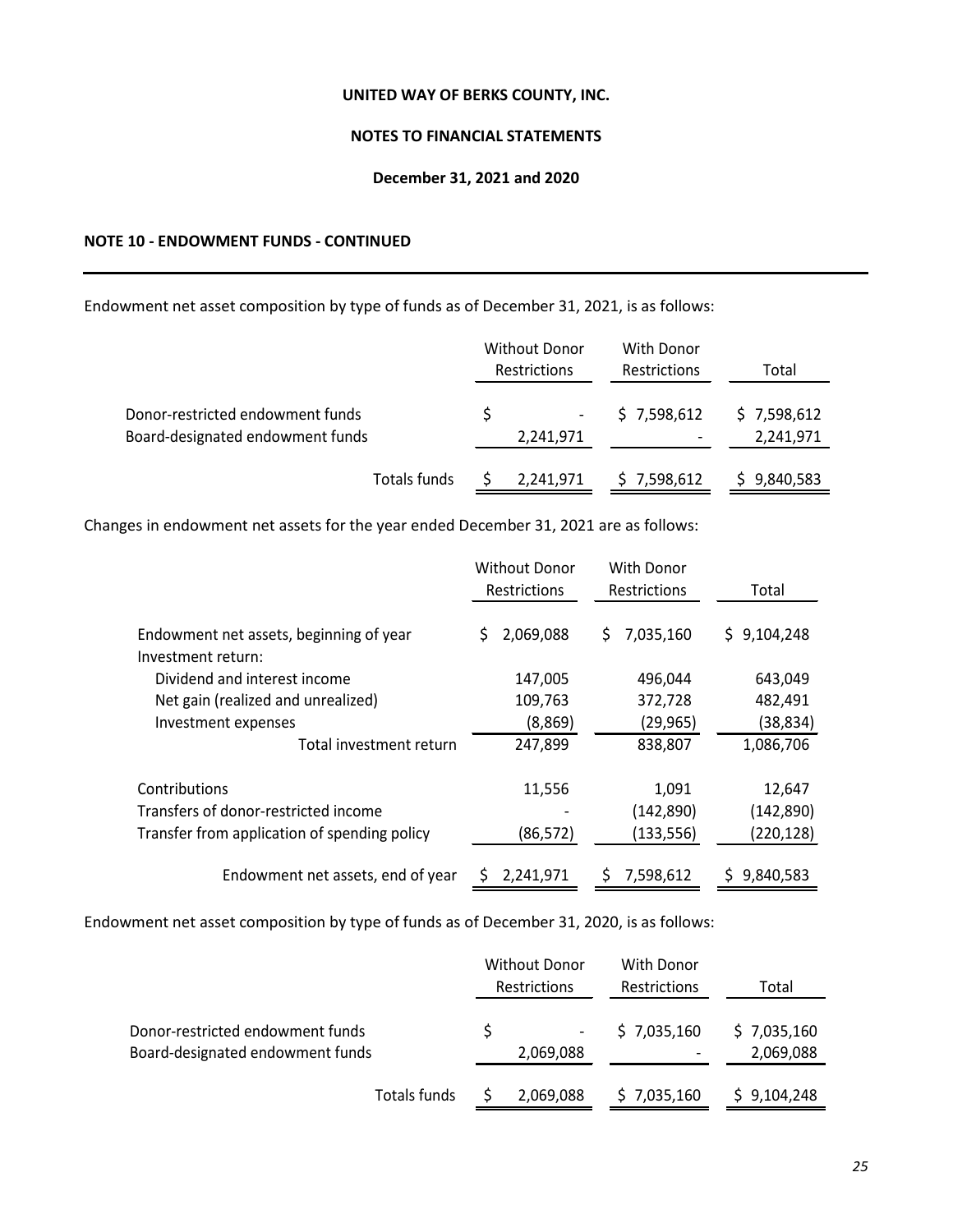## **NOTES TO FINANCIAL STATEMENTS**

### **December 31, 2021 and 2020**

## **NOTE 10 - ENDOWMENT FUNDS - CONTINUED**

Endowment net asset composition by type of funds as of December 31, 2021, is as follows:

|                                                                      | <b>Without Donor</b><br>Restrictions  | With Donor<br>Restrictions | Total                    |  |
|----------------------------------------------------------------------|---------------------------------------|----------------------------|--------------------------|--|
| Donor-restricted endowment funds<br>Board-designated endowment funds | $\overline{\phantom{a}}$<br>2,241,971 | \$7,598,612                | \$7,598,612<br>2,241,971 |  |
| Totals funds                                                         | 2,241,971                             | \$7,598,612                | 9,840,583                |  |

Changes in endowment net assets for the year ended December 31, 2021 are as follows:

|                                                               | <b>Without Donor</b> | <b>With Donor</b> |             |
|---------------------------------------------------------------|----------------------|-------------------|-------------|
|                                                               | Restrictions         | Restrictions      | Total       |
| Endowment net assets, beginning of year<br>Investment return: | 2,069,088            | \$<br>7,035,160   | \$9,104,248 |
| Dividend and interest income                                  | 147,005              | 496,044           | 643,049     |
| Net gain (realized and unrealized)                            | 109,763              | 372,728           | 482,491     |
| Investment expenses                                           | (8,869)              | (29, 965)         | (38,834)    |
| Total investment return                                       | 247,899              | 838,807           | 1,086,706   |
| Contributions                                                 | 11,556               | 1,091             | 12,647      |
| Transfers of donor-restricted income                          |                      | (142, 890)        | (142,890)   |
| Transfer from application of spending policy                  | (86, 572)            | (133, 556)        | (220,128)   |
| Endowment net assets, end of year                             | 2,241,971            | 7,598,612         | 9,840,583   |

Endowment net asset composition by type of funds as of December 31, 2020, is as follows:

|                                                                      | <b>Without Donor</b><br>Restrictions       | With Donor<br>Restrictions | Total                    |  |
|----------------------------------------------------------------------|--------------------------------------------|----------------------------|--------------------------|--|
| Donor-restricted endowment funds<br>Board-designated endowment funds | S<br>$\overline{\phantom{a}}$<br>2,069,088 | \$7,035,160                | \$7,035,160<br>2,069,088 |  |
| Totals funds                                                         | 2,069,088                                  | \$7,035,160                | \$9,104,248              |  |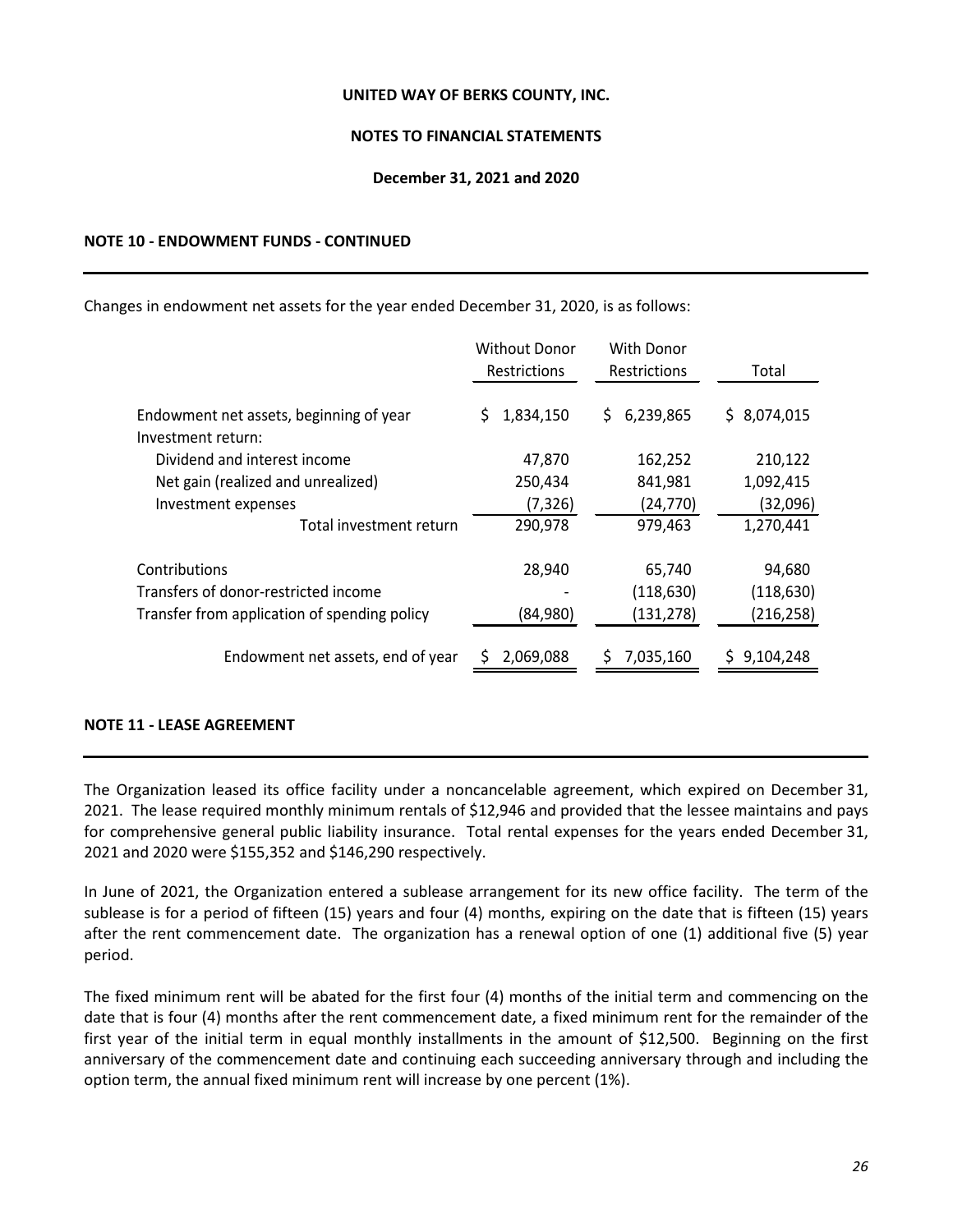## **NOTES TO FINANCIAL STATEMENTS**

#### **December 31, 2021 and 2020**

#### **NOTE 10 - ENDOWMENT FUNDS - CONTINUED**

Changes in endowment net assets for the year ended December 31, 2020, is as follows:

|                                                               | <b>Without Donor</b><br>Restrictions | <b>With Donor</b><br>Restrictions |             |
|---------------------------------------------------------------|--------------------------------------|-----------------------------------|-------------|
| Endowment net assets, beginning of year<br>Investment return: | 1,834,150                            | \$.<br>6,239,865                  | \$8,074,015 |
| Dividend and interest income                                  | 47,870                               | 162,252                           | 210,122     |
| Net gain (realized and unrealized)                            | 250,434                              | 841,981                           | 1,092,415   |
| Investment expenses                                           | (7, 326)                             | (24, 770)                         | (32,096)    |
| Total investment return                                       | 290,978                              | 979,463                           | 1,270,441   |
| Contributions                                                 | 28,940                               | 65,740                            | 94,680      |
| Transfers of donor-restricted income                          |                                      | (118, 630)                        | (118, 630)  |
| Transfer from application of spending policy                  | (84,980)                             | (131,278)                         | (216,258)   |
| Endowment net assets, end of year                             | 2,069,088                            | 7,035,160                         | 9,104,248   |

## **NOTE 11 - LEASE AGREEMENT**

The Organization leased its office facility under a noncancelable agreement, which expired on December 31, 2021. The lease required monthly minimum rentals of \$12,946 and provided that the lessee maintains and pays for comprehensive general public liability insurance. Total rental expenses for the years ended December 31, 2021 and 2020 were \$155,352 and \$146,290 respectively.

In June of 2021, the Organization entered a sublease arrangement for its new office facility. The term of the sublease is for a period of fifteen (15) years and four (4) months, expiring on the date that is fifteen (15) years after the rent commencement date. The organization has a renewal option of one (1) additional five (5) year period.

The fixed minimum rent will be abated for the first four (4) months of the initial term and commencing on the date that is four (4) months after the rent commencement date, a fixed minimum rent for the remainder of the first year of the initial term in equal monthly installments in the amount of \$12,500. Beginning on the first anniversary of the commencement date and continuing each succeeding anniversary through and including the option term, the annual fixed minimum rent will increase by one percent (1%).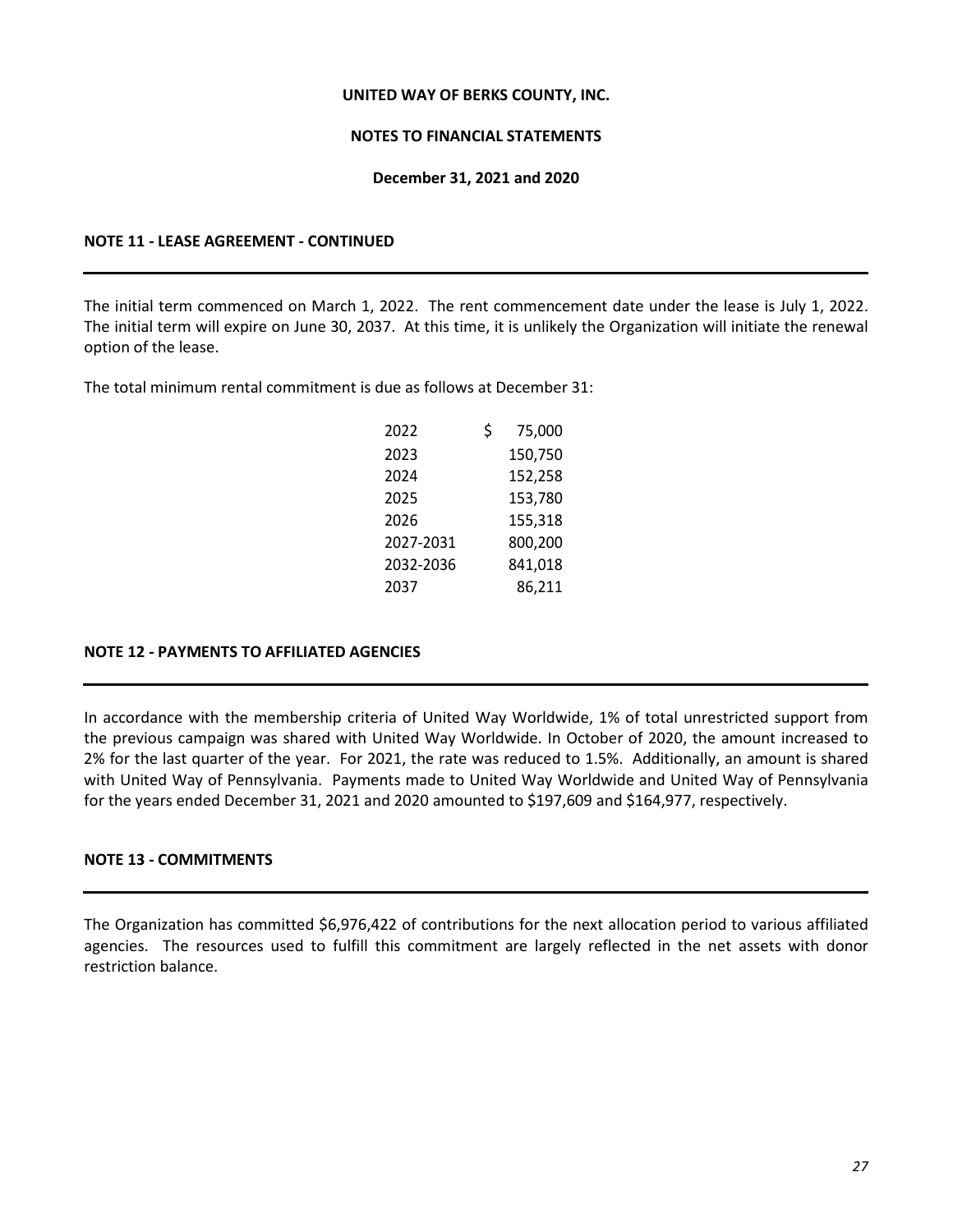## **NOTES TO FINANCIAL STATEMENTS**

#### **December 31, 2021 and 2020**

## **NOTE 11 - LEASE AGREEMENT - CONTINUED**

The initial term commenced on March 1, 2022. The rent commencement date under the lease is July 1, 2022. The initial term will expire on June 30, 2037. At this time, it is unlikely the Organization will initiate the renewal option of the lease.

The total minimum rental commitment is due as follows at December 31:

| 2022      | Ś | 75,000  |
|-----------|---|---------|
| 2023      |   | 150,750 |
| 2024      |   | 152,258 |
| 2025      |   | 153,780 |
| 2026      |   | 155,318 |
| 2027-2031 |   | 800.200 |
| 2032-2036 |   | 841,018 |
| 2037      |   | 86,211  |

## **NOTE 12 - PAYMENTS TO AFFILIATED AGENCIES**

In accordance with the membership criteria of United Way Worldwide, 1% of total unrestricted support from the previous campaign was shared with United Way Worldwide. In October of 2020, the amount increased to 2% for the last quarter of the year. For 2021, the rate was reduced to 1.5%. Additionally, an amount is shared with United Way of Pennsylvania. Payments made to United Way Worldwide and United Way of Pennsylvania for the years ended December 31, 2021 and 2020 amounted to \$197,609 and \$164,977, respectively.

## **NOTE 13 - COMMITMENTS**

The Organization has committed \$6,976,422 of contributions for the next allocation period to various affiliated agencies. The resources used to fulfill this commitment are largely reflected in the net assets with donor restriction balance.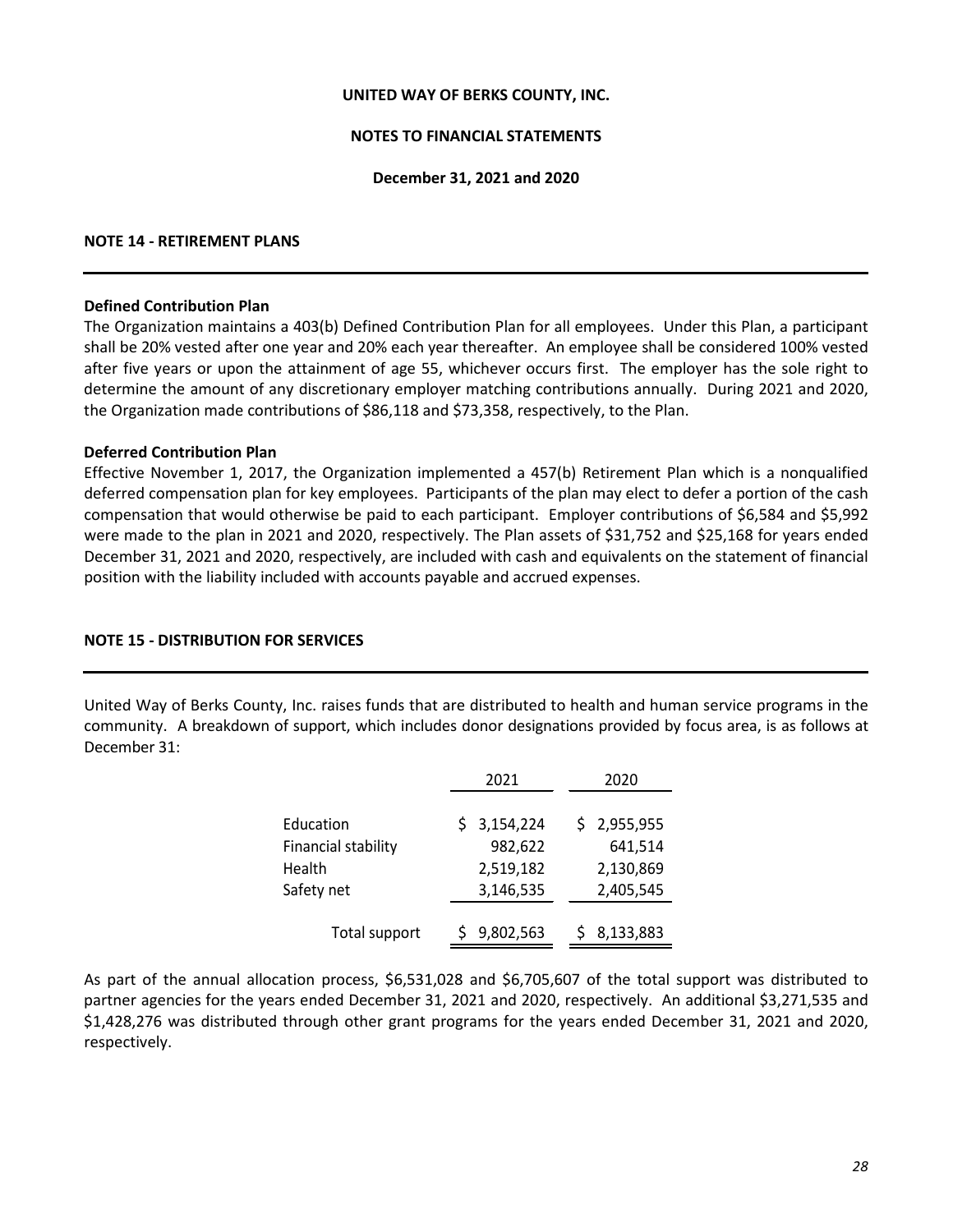## **NOTES TO FINANCIAL STATEMENTS**

### **December 31, 2021 and 2020**

#### **NOTE 14 - RETIREMENT PLANS**

#### **Defined Contribution Plan**

The Organization maintains a 403(b) Defined Contribution Plan for all employees. Under this Plan, a participant shall be 20% vested after one year and 20% each year thereafter. An employee shall be considered 100% vested after five years or upon the attainment of age 55, whichever occurs first. The employer has the sole right to determine the amount of any discretionary employer matching contributions annually. During 2021 and 2020, the Organization made contributions of \$86,118 and \$73,358, respectively, to the Plan.

### **Deferred Contribution Plan**

Effective November 1, 2017, the Organization implemented a 457(b) Retirement Plan which is a nonqualified deferred compensation plan for key employees. Participants of the plan may elect to defer a portion of the cash compensation that would otherwise be paid to each participant. Employer contributions of \$6,584 and \$5,992 were made to the plan in 2021 and 2020, respectively. The Plan assets of \$31,752 and \$25,168 for years ended December 31, 2021 and 2020, respectively, are included with cash and equivalents on the statement of financial position with the liability included with accounts payable and accrued expenses.

#### **NOTE 15 - DISTRIBUTION FOR SERVICES**

United Way of Berks County, Inc. raises funds that are distributed to health and human service programs in the community. A breakdown of support, which includes donor designations provided by focus area, is as follows at December 31:

|                               | 2021                 | 2020                 |  |
|-------------------------------|----------------------|----------------------|--|
| Education                     | \$3,154,224          | \$2,955,955          |  |
| Financial stability<br>Health | 982,622<br>2,519,182 | 641,514<br>2,130,869 |  |
| Safety net                    | 3,146,535            | 2,405,545            |  |
| Total support                 | \$9,802,563          | 8,133,883            |  |

As part of the annual allocation process, \$6,531,028 and \$6,705,607 of the total support was distributed to partner agencies for the years ended December 31, 2021 and 2020, respectively. An additional \$3,271,535 and \$1,428,276 was distributed through other grant programs for the years ended December 31, 2021 and 2020, respectively.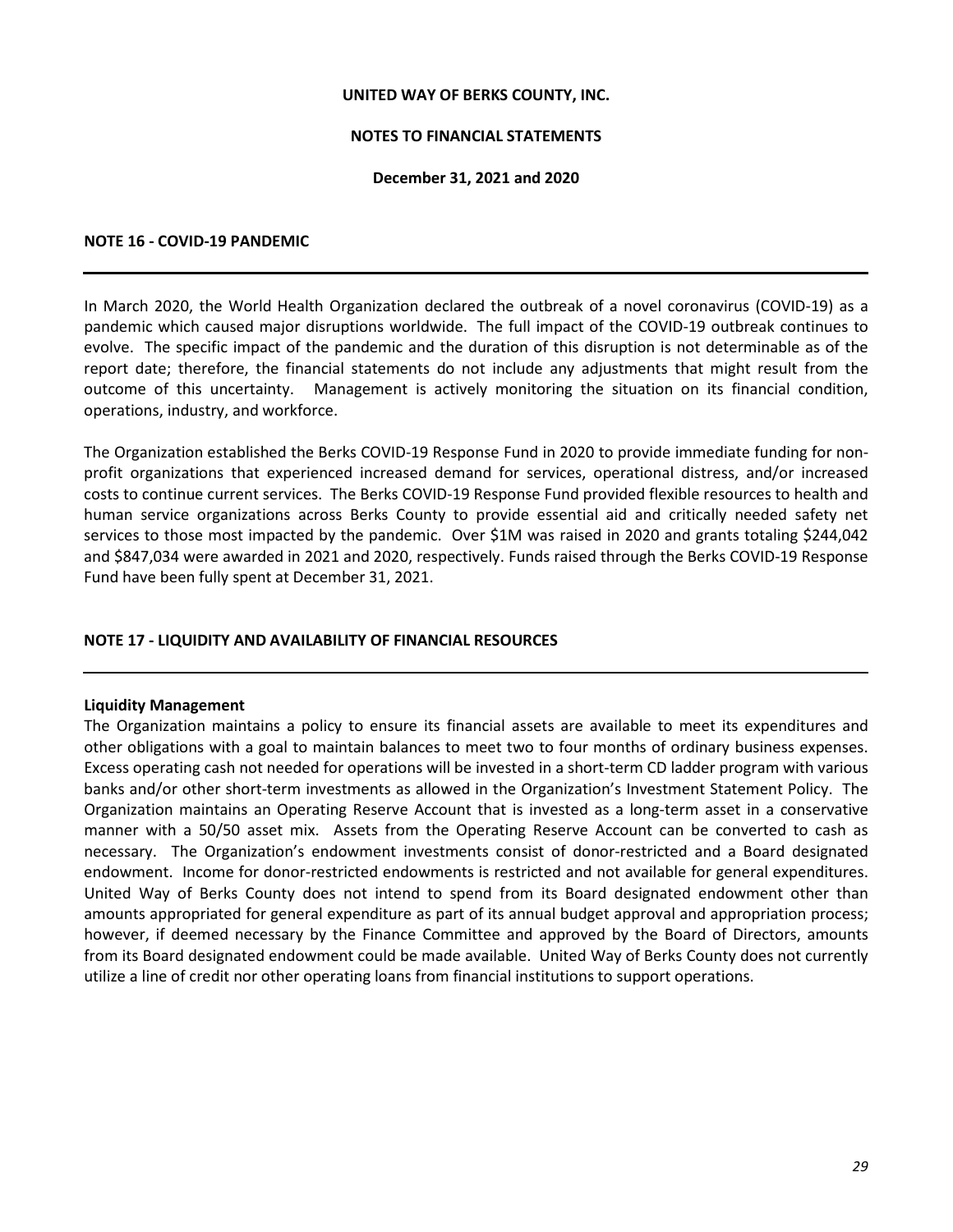## **NOTES TO FINANCIAL STATEMENTS**

### **December 31, 2021 and 2020**

### **NOTE 16 - COVID-19 PANDEMIC**

In March 2020, the World Health Organization declared the outbreak of a novel coronavirus (COVID-19) as a pandemic which caused major disruptions worldwide. The full impact of the COVID-19 outbreak continues to evolve. The specific impact of the pandemic and the duration of this disruption is not determinable as of the report date; therefore, the financial statements do not include any adjustments that might result from the outcome of this uncertainty. Management is actively monitoring the situation on its financial condition, operations, industry, and workforce.

The Organization established the Berks COVID-19 Response Fund in 2020 to provide immediate funding for nonprofit organizations that experienced increased demand for services, operational distress, and/or increased costs to continue current services. The Berks COVID-19 Response Fund provided flexible resources to health and human service organizations across Berks County to provide essential aid and critically needed safety net services to those most impacted by the pandemic. Over \$1M was raised in 2020 and grants totaling \$244,042 and \$847,034 were awarded in 2021 and 2020, respectively. Funds raised through the Berks COVID-19 Response Fund have been fully spent at December 31, 2021.

#### **NOTE 17 - LIQUIDITY AND AVAILABILITY OF FINANCIAL RESOURCES**

#### **Liquidity Management**

The Organization maintains a policy to ensure its financial assets are available to meet its expenditures and other obligations with a goal to maintain balances to meet two to four months of ordinary business expenses. Excess operating cash not needed for operations will be invested in a short-term CD ladder program with various banks and/or other short-term investments as allowed in the Organization's Investment Statement Policy. The Organization maintains an Operating Reserve Account that is invested as a long-term asset in a conservative manner with a 50/50 asset mix. Assets from the Operating Reserve Account can be converted to cash as necessary. The Organization's endowment investments consist of donor-restricted and a Board designated endowment. Income for donor-restricted endowments is restricted and not available for general expenditures. United Way of Berks County does not intend to spend from its Board designated endowment other than amounts appropriated for general expenditure as part of its annual budget approval and appropriation process; however, if deemed necessary by the Finance Committee and approved by the Board of Directors, amounts from its Board designated endowment could be made available. United Way of Berks County does not currently utilize a line of credit nor other operating loans from financial institutions to support operations.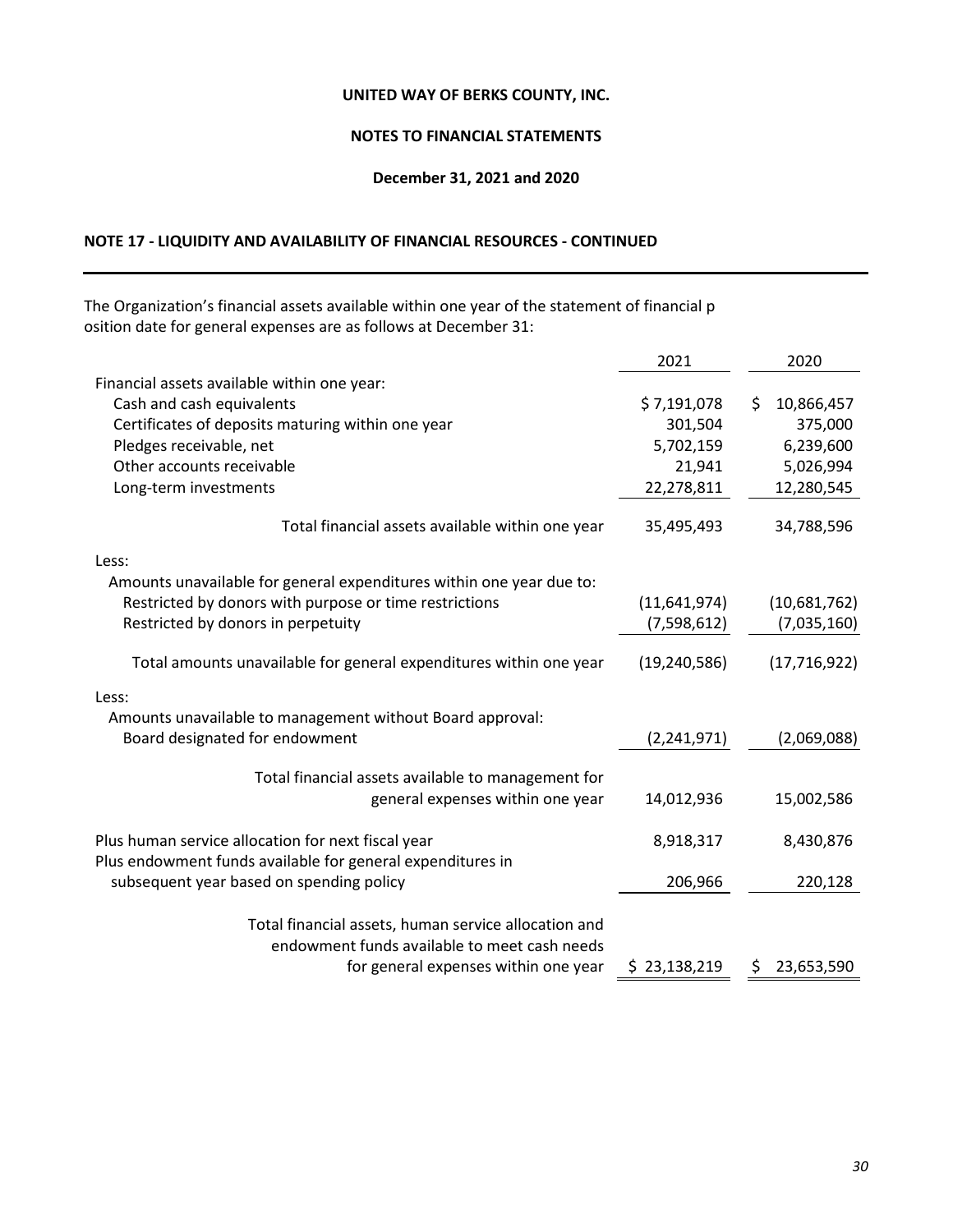## **NOTES TO FINANCIAL STATEMENTS**

### **December 31, 2021 and 2020**

## **NOTE 17 - LIQUIDITY AND AVAILABILITY OF FINANCIAL RESOURCES - CONTINUED**

The Organization's financial assets available within one year of the statement of financial p osition date for general expenses are as follows at December 31:

|                                                                      | 2021           | 2020             |
|----------------------------------------------------------------------|----------------|------------------|
| Financial assets available within one year:                          |                |                  |
| Cash and cash equivalents                                            | \$7,191,078    | \$<br>10,866,457 |
| Certificates of deposits maturing within one year                    | 301,504        | 375,000          |
| Pledges receivable, net                                              | 5,702,159      | 6,239,600        |
| Other accounts receivable                                            | 21,941         | 5,026,994        |
| Long-term investments                                                | 22,278,811     | 12,280,545       |
| Total financial assets available within one year                     | 35,495,493     | 34,788,596       |
| Less:                                                                |                |                  |
| Amounts unavailable for general expenditures within one year due to: |                |                  |
| Restricted by donors with purpose or time restrictions               | (11,641,974)   | (10,681,762)     |
| Restricted by donors in perpetuity                                   | (7,598,612)    | (7,035,160)      |
| Total amounts unavailable for general expenditures within one year   | (19, 240, 586) | (17, 716, 922)   |
| Less:                                                                |                |                  |
| Amounts unavailable to management without Board approval:            |                |                  |
| Board designated for endowment                                       | (2, 241, 971)  | (2,069,088)      |
| Total financial assets available to management for                   |                |                  |
| general expenses within one year                                     | 14,012,936     | 15,002,586       |
| Plus human service allocation for next fiscal year                   | 8,918,317      | 8,430,876        |
| Plus endowment funds available for general expenditures in           |                |                  |
| subsequent year based on spending policy                             | 206,966        | 220,128          |
| Total financial assets, human service allocation and                 |                |                  |
| endowment funds available to meet cash needs                         |                |                  |
| for general expenses within one year                                 | \$23,138,219   | \$<br>23,653,590 |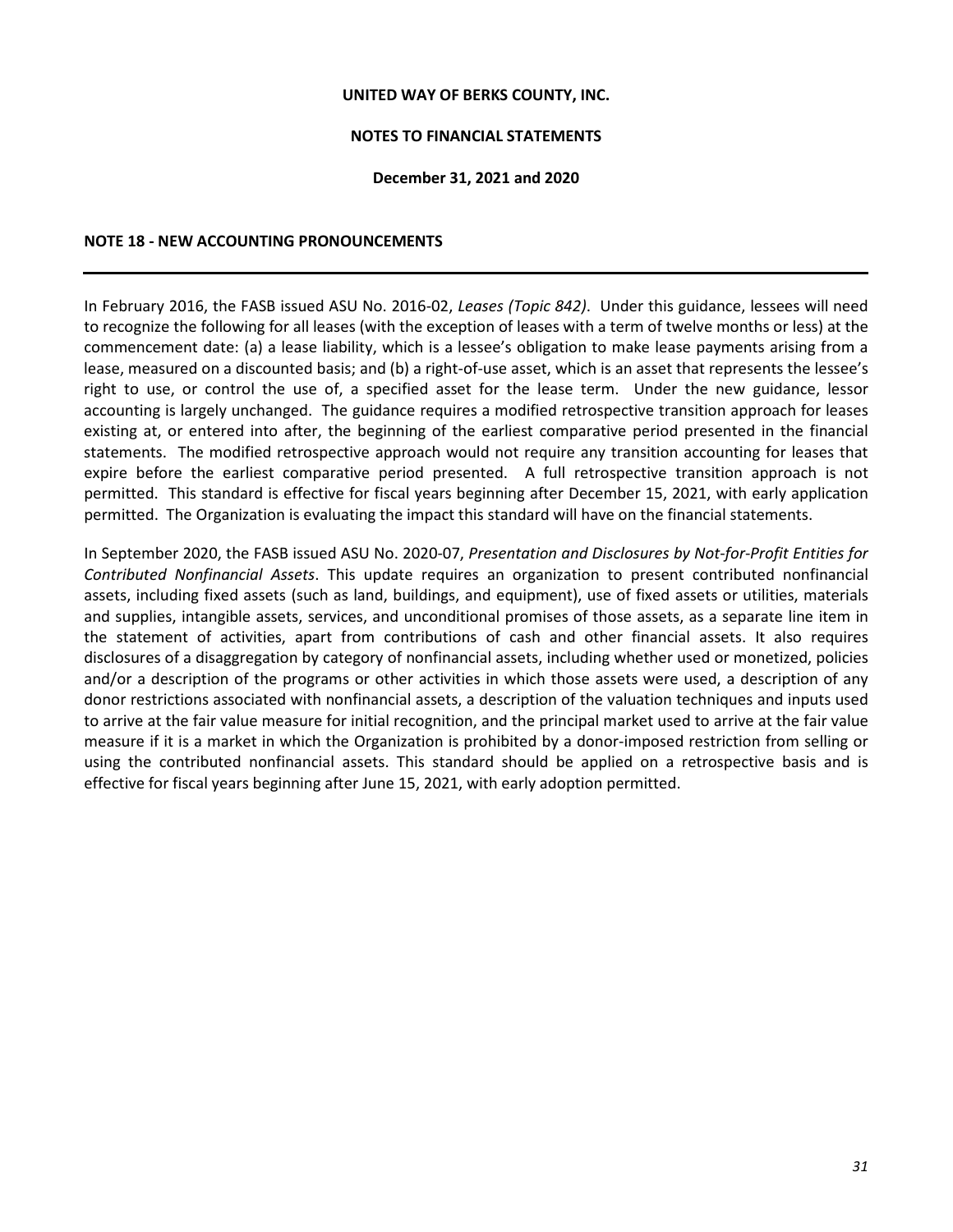## **NOTES TO FINANCIAL STATEMENTS**

### **December 31, 2021 and 2020**

### **NOTE 18 - NEW ACCOUNTING PRONOUNCEMENTS**

In February 2016, the FASB issued ASU No. 2016-02, *Leases (Topic 842)*. Under this guidance, lessees will need to recognize the following for all leases (with the exception of leases with a term of twelve months or less) at the commencement date: (a) a lease liability, which is a lessee's obligation to make lease payments arising from a lease, measured on a discounted basis; and (b) a right-of-use asset, which is an asset that represents the lessee's right to use, or control the use of, a specified asset for the lease term. Under the new guidance, lessor accounting is largely unchanged. The guidance requires a modified retrospective transition approach for leases existing at, or entered into after, the beginning of the earliest comparative period presented in the financial statements. The modified retrospective approach would not require any transition accounting for leases that expire before the earliest comparative period presented. A full retrospective transition approach is not permitted. This standard is effective for fiscal years beginning after December 15, 2021, with early application permitted. The Organization is evaluating the impact this standard will have on the financial statements.

In September 2020, the FASB issued ASU No. 2020-07, *Presentation and Disclosures by Not*-*for*-*Profit Entities for Contributed Nonfinancial Assets*. This update requires an organization to present contributed nonfinancial assets, including fixed assets (such as land, buildings, and equipment), use of fixed assets or utilities, materials and supplies, intangible assets, services, and unconditional promises of those assets, as a separate line item in the statement of activities, apart from contributions of cash and other financial assets. It also requires disclosures of a disaggregation by category of nonfinancial assets, including whether used or monetized, policies and/or a description of the programs or other activities in which those assets were used, a description of any donor restrictions associated with nonfinancial assets, a description of the valuation techniques and inputs used to arrive at the fair value measure for initial recognition, and the principal market used to arrive at the fair value measure if it is a market in which the Organization is prohibited by a donor-imposed restriction from selling or using the contributed nonfinancial assets. This standard should be applied on a retrospective basis and is effective for fiscal years beginning after June 15, 2021, with early adoption permitted.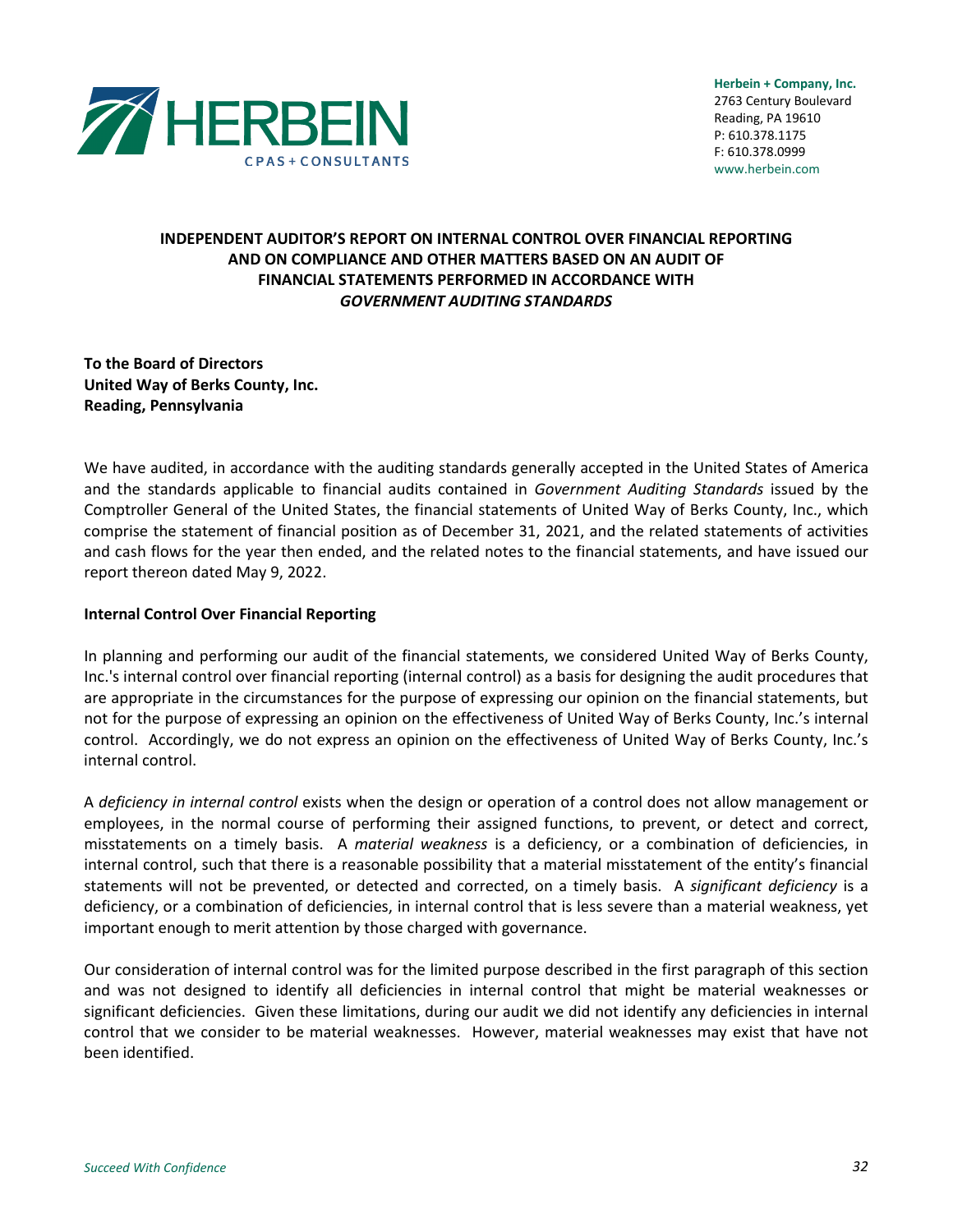

**Herbein + Company, Inc.** 2763 Century Boulevard Reading, PA 19610 P: 610.378.1175 F: 610.378.0999 www.herbein.com

## **INDEPENDENT AUDITOR'S REPORT ON INTERNAL CONTROL OVER FINANCIAL REPORTING AND ON COMPLIANCE AND OTHER MATTERS BASED ON AN AUDIT OF FINANCIAL STATEMENTS PERFORMED IN ACCORDANCE WITH**  *GOVERNMENT AUDITING STANDARDS*

**To the Board of Directors United Way of Berks County, Inc. Reading, Pennsylvania**

We have audited, in accordance with the auditing standards generally accepted in the United States of America and the standards applicable to financial audits contained in *Government Auditing Standards* issued by the Comptroller General of the United States, the financial statements of United Way of Berks County, Inc., which comprise the statement of financial position as of December 31, 2021, and the related statements of activities and cash flows for the year then ended, and the related notes to the financial statements, and have issued our report thereon dated May 9, 2022.

## **Internal Control Over Financial Reporting**

In planning and performing our audit of the financial statements, we considered United Way of Berks County, Inc.'s internal control over financial reporting (internal control) as a basis for designing the audit procedures that are appropriate in the circumstances for the purpose of expressing our opinion on the financial statements, but not for the purpose of expressing an opinion on the effectiveness of United Way of Berks County, Inc.'s internal control. Accordingly, we do not express an opinion on the effectiveness of United Way of Berks County, Inc.'s internal control.

A *deficiency in internal control* exists when the design or operation of a control does not allow management or employees, in the normal course of performing their assigned functions, to prevent, or detect and correct, misstatements on a timely basis. A *material weakness* is a deficiency, or a combination of deficiencies, in internal control, such that there is a reasonable possibility that a material misstatement of the entity's financial statements will not be prevented, or detected and corrected, on a timely basis. A *significant deficiency* is a deficiency, or a combination of deficiencies, in internal control that is less severe than a material weakness, yet important enough to merit attention by those charged with governance.

Our consideration of internal control was for the limited purpose described in the first paragraph of this section and was not designed to identify all deficiencies in internal control that might be material weaknesses or significant deficiencies. Given these limitations, during our audit we did not identify any deficiencies in internal control that we consider to be material weaknesses. However, material weaknesses may exist that have not been identified.